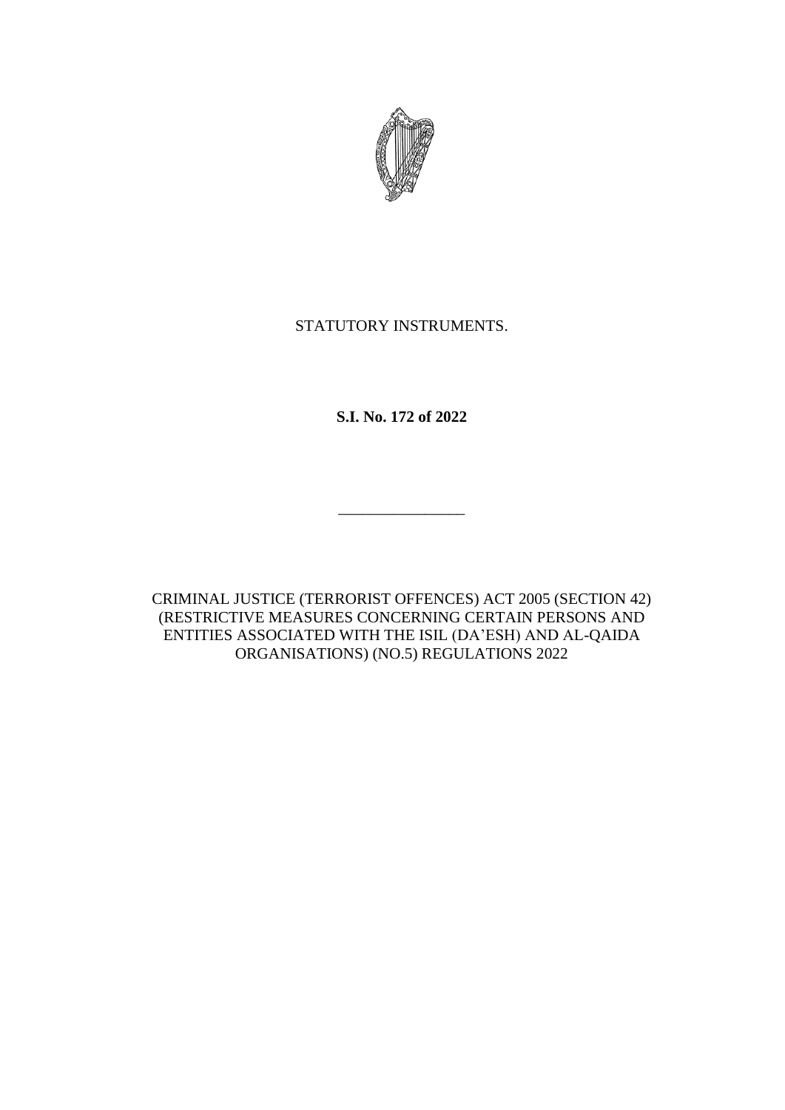

# STATUTORY INSTRUMENTS.

**S.I. No. 172 of 2022**

CRIMINAL JUSTICE (TERRORIST OFFENCES) ACT 2005 (SECTION 42) (RESTRICTIVE MEASURES CONCERNING CERTAIN PERSONS AND ENTITIES ASSOCIATED WITH THE ISIL (DA'ESH) AND AL-QAIDA ORGANISATIONS) (NO.5) REGULATIONS 2022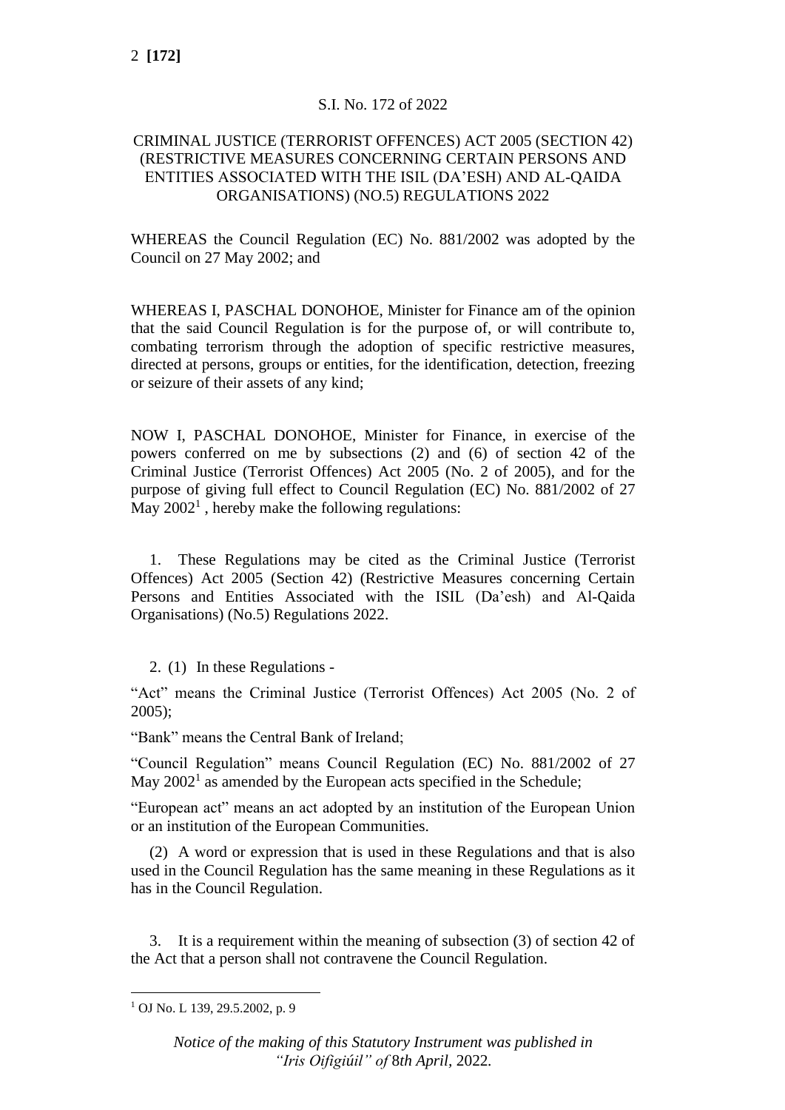## S.I. No. 172 of 2022

### CRIMINAL JUSTICE (TERRORIST OFFENCES) ACT 2005 (SECTION 42) (RESTRICTIVE MEASURES CONCERNING CERTAIN PERSONS AND ENTITIES ASSOCIATED WITH THE ISIL (DA'ESH) AND AL-QAIDA ORGANISATIONS) (NO.5) REGULATIONS 2022

WHEREAS the Council Regulation (EC) No. 881/2002 was adopted by the Council on 27 May 2002; and

WHEREAS I, PASCHAL DONOHOE, Minister for Finance am of the opinion that the said Council Regulation is for the purpose of, or will contribute to, combating terrorism through the adoption of specific restrictive measures, directed at persons, groups or entities, for the identification, detection, freezing or seizure of their assets of any kind;

NOW I, PASCHAL DONOHOE, Minister for Finance, in exercise of the powers conferred on me by subsections (2) and (6) of section 42 of the Criminal Justice (Terrorist Offences) Act 2005 (No. 2 of 2005), and for the purpose of giving full effect to Council Regulation (EC) No. 881/2002 of 27 May  $2002<sup>1</sup>$ , hereby make the following regulations:

1. These Regulations may be cited as the Criminal Justice (Terrorist Offences) Act 2005 (Section 42) (Restrictive Measures concerning Certain Persons and Entities Associated with the ISIL (Da'esh) and Al-Qaida Organisations) (No.5) Regulations 2022.

2. (1) In these Regulations -

"Act" means the Criminal Justice (Terrorist Offences) Act 2005 (No. 2 of 2005);

"Bank" means the Central Bank of Ireland;

"Council Regulation" means Council Regulation (EC) No. 881/2002 of 27 May  $2002<sup>1</sup>$  as amended by the European acts specified in the Schedule;

"European act" means an act adopted by an institution of the European Union or an institution of the European Communities.

(2) A word or expression that is used in these Regulations and that is also used in the Council Regulation has the same meaning in these Regulations as it has in the Council Regulation.

3. It is a requirement within the meaning of subsection (3) of section 42 of the Act that a person shall not contravene the Council Regulation.

<sup>1</sup> OJ No. L 139, 29.5.2002, p. 9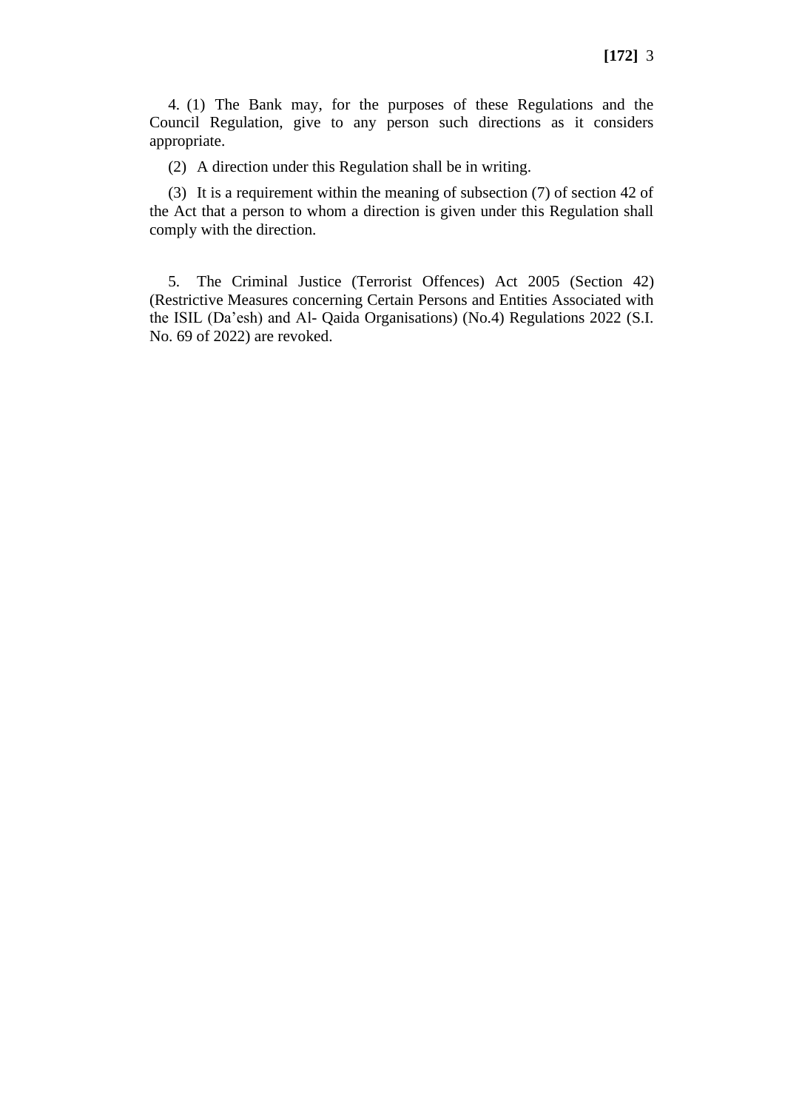4. (1) The Bank may, for the purposes of these Regulations and the Council Regulation, give to any person such directions as it considers appropriate.

(2) A direction under this Regulation shall be in writing.

(3) It is a requirement within the meaning of subsection (7) of section 42 of the Act that a person to whom a direction is given under this Regulation shall comply with the direction.

5. The Criminal Justice (Terrorist Offences) Act 2005 (Section 42) (Restrictive Measures concerning Certain Persons and Entities Associated with the ISIL (Da'esh) and Al- Qaida Organisations) (No.4) Regulations 2022 (S.I. No. 69 of 2022) are revoked.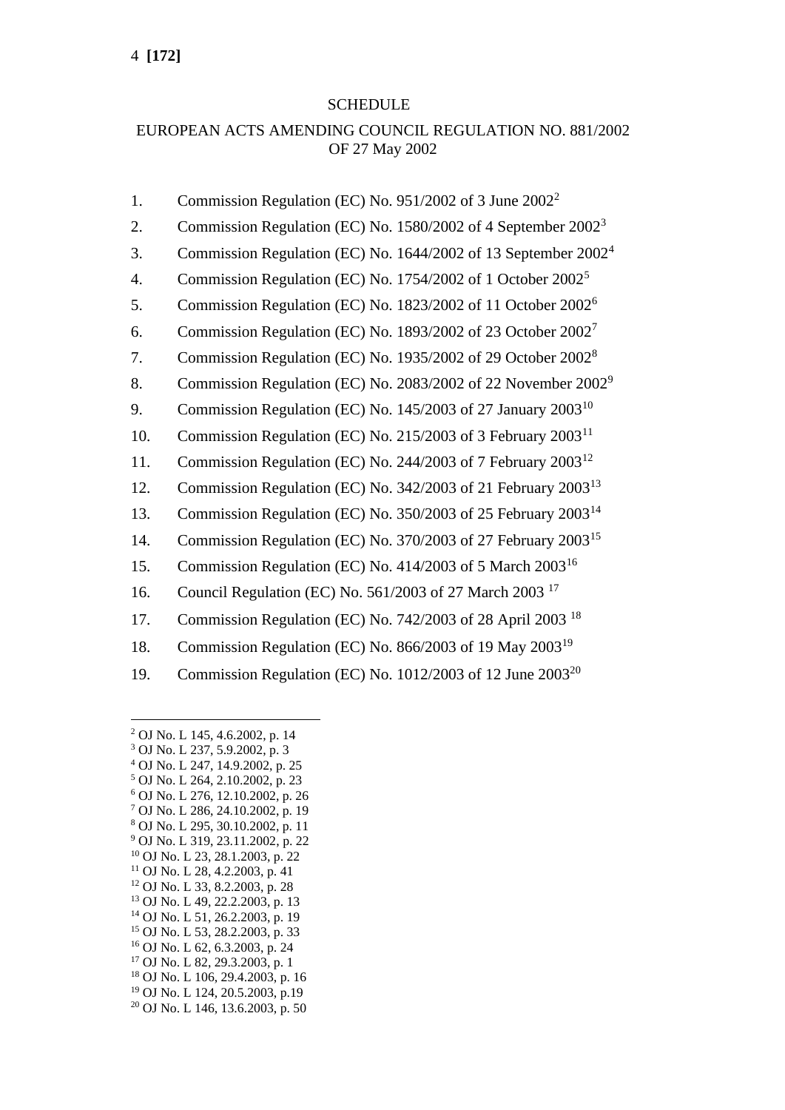#### SCHEDULE

## EUROPEAN ACTS AMENDING COUNCIL REGULATION NO. 881/2002 OF 27 May 2002

- 1. Commission Regulation (EC) No. 951/2002 of 3 June 2002<sup>2</sup>
- 2. Commission Regulation (EC) No. 1580/2002 of 4 September 2002<sup>3</sup>
- 3. Commission Regulation (EC) No. 1644/2002 of 13 September 2002<sup>4</sup>
- 4. Commission Regulation (EC) No. 1754/2002 of 1 October  $2002<sup>5</sup>$
- 5. Commission Regulation (EC) No. 1823/2002 of 11 October 2002<sup>6</sup>
- 6. Commission Regulation (EC) No. 1893/2002 of 23 October 2002<sup>7</sup>
- 7. Commission Regulation (EC) No. 1935/2002 of 29 October 2002<sup>8</sup>
- 8. Commission Regulation (EC) No. 2083/2002 of 22 November 2002<sup>9</sup>
- 9. Commission Regulation (EC) No. 145/2003 of 27 January 2003<sup>10</sup>
- 10. Commission Regulation (EC) No. 215/2003 of 3 February 2003<sup>11</sup>
- 11. Commission Regulation (EC) No. 244/2003 of 7 February 2003<sup>12</sup>
- 12. Commission Regulation (EC) No. 342/2003 of 21 February 2003<sup>13</sup>
- 13. Commission Regulation (EC) No. 350/2003 of 25 February 2003<sup>14</sup>
- 14. Commission Regulation (EC) No. 370/2003 of 27 February 2003<sup>15</sup>
- 15. Commission Regulation (EC) No. 414/2003 of 5 March 2003<sup>16</sup>
- 16. Council Regulation (EC) No. 561/2003 of 27 March 2003<sup>17</sup>
- 17. Commission Regulation (EC) No. 742/2003 of 28 April 2003 <sup>18</sup>
- 18. Commission Regulation (EC) No. 866/2003 of 19 May 2003<sup>19</sup>
- 19. Commission Regulation (EC) No. 1012/2003 of 12 June 2003<sup>20</sup>

- <sup>4</sup> OJ No. L 247, 14.9.2002, p. 25 <sup>5</sup> OJ No. L 264, 2.10.2002, p. 23
- <sup>6</sup> OJ No. L 276, 12.10.2002, p. 26
- <sup>7</sup> OJ No. L 286, 24.10.2002, p. 19
- <sup>8</sup> OJ No. L 295, 30.10.2002, p. 11
- <sup>9</sup> OJ No. L 319, 23.11.2002, p. 22
- <sup>10</sup> OJ No. L 23, 28.1.2003, p. 22
- <sup>11</sup> OJ No. L 28, 4.2.2003, p. 41
- <sup>12</sup> OJ No. L 33, 8.2.2003, p. 28 <sup>13</sup> OJ No. L 49, 22.2.2003, p. 13
- <sup>14</sup> OJ No. L 51, 26.2.2003, p. 19
- <sup>15</sup> OJ No. L 53, 28.2.2003, p. 33
- <sup>16</sup> OJ No. L 62, 6.3.2003, p. 24
- <sup>17</sup> OJ No. L 82, 29.3.2003, p. 1
- <sup>18</sup> OJ No. L 106, 29.4.2003, p. 16
- <sup>19</sup> OJ No. L 124, 20.5.2003, p.19
- <sup>20</sup> OJ No. L 146, 13.6.2003, p. 50

<sup>2</sup> OJ No. L 145, 4.6.2002, p. 14

<sup>3</sup> OJ No. L 237, 5.9.2002, p. 3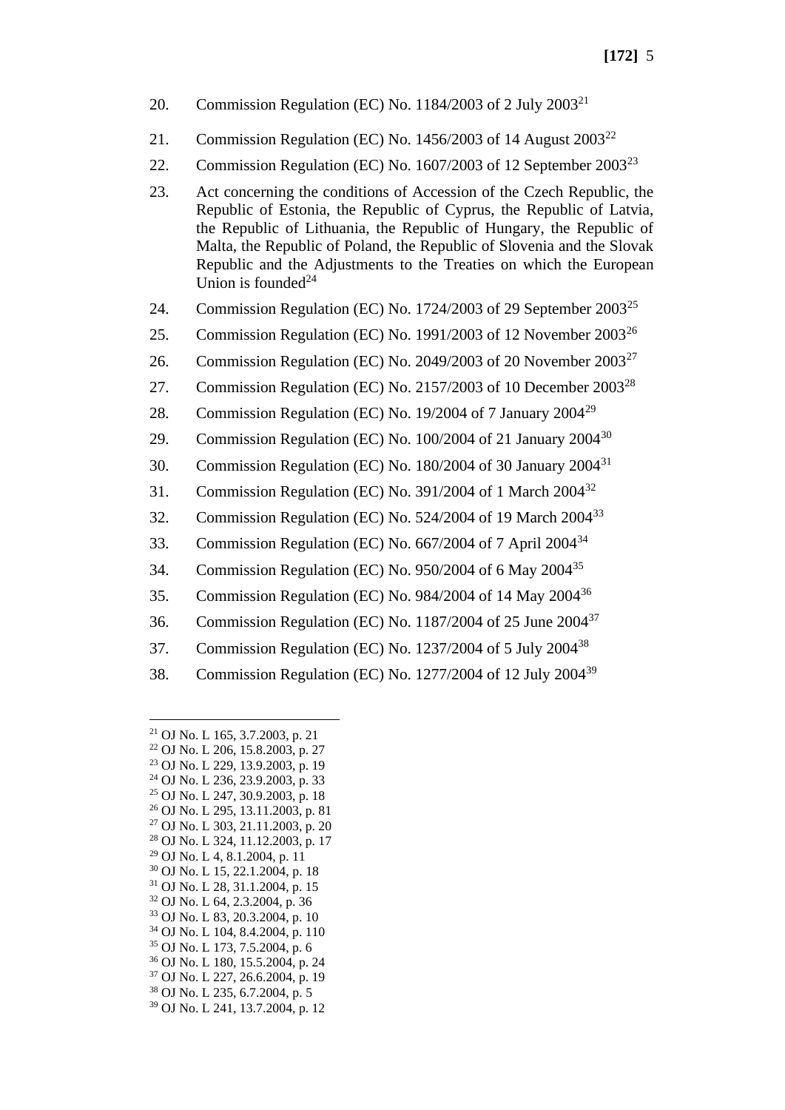- 20. Commission Regulation (EC) No. 1184/2003 of 2 July  $2003^{21}$
- 21. Commission Regulation (EC) No.  $1456/2003$  of 14 August  $2003^{22}$
- 22. Commission Regulation (EC) No. 1607/2003 of 12 September 2003<sup>23</sup>
- 23. Act concerning the conditions of Accession of the Czech Republic, the Republic of Estonia, the Republic of Cyprus, the Republic of Latvia, the Republic of Lithuania, the Republic of Hungary, the Republic of Malta, the Republic of Poland, the Republic of Slovenia and the Slovak Republic and the Adjustments to the Treaties on which the European Union is founded $24$
- 24. Commission Regulation (EC) No. 1724/2003 of 29 September  $2003^{25}$
- 25. Commission Regulation (EC) No. 1991/2003 of 12 November  $2003^{26}$
- 26. Commission Regulation (EC) No. 2049/2003 of 20 November  $2003^{27}$
- 27. Commission Regulation (EC) No. 2157/2003 of 10 December 2003<sup>28</sup>
- 28. Commission Regulation (EC) No. 19/2004 of 7 January 2004<sup>29</sup>
- 29. Commission Regulation (EC) No. 100/2004 of 21 January 2004<sup>30</sup>
- 30. Commission Regulation (EC) No. 180/2004 of 30 January  $2004^{31}$
- 31. Commission Regulation (EC) No. 391/2004 of 1 March 2004<sup>32</sup>
- 32. Commission Regulation (EC) No. 524/2004 of 19 March 2004<sup>33</sup>
- 33. Commission Regulation (EC) No. 667/2004 of 7 April 2004<sup>34</sup>
- 34. Commission Regulation (EC) No. 950/2004 of 6 May 2004<sup>35</sup>
- 35. Commission Regulation (EC) No. 984/2004 of 14 May 2004<sup>36</sup>
- 36. Commission Regulation (EC) No.  $1187/2004$  of 25 June  $2004^{37}$
- 37. Commission Regulation (EC) No. 1237/2004 of 5 July 2004<sup>38</sup>
- 38. Commission Regulation (EC) No. 1277/2004 of 12 July 2004<sup>39</sup>

 OJ No. L 165, 3.7.2003, p. 21 OJ No. L 206, 15.8.2003, p. 27 OJ No. L 229, 13.9.2003, p. 19 OJ No. L 236, 23.9.2003, p. 33 OJ No. L 247, 30.9.2003, p. 18 OJ No. L 295, 13.11.2003, p. 81 OJ No. L 303, 21.11.2003, p. 20 OJ No. L 324, 11.12.2003, p. 17 OJ No. L 4, 8.1.2004, p. 11 OJ No. L 15, 22.1.2004, p. 18 OJ No. L 28, 31.1.2004, p. 15 OJ No. L 64, 2.3.2004, p. 36 OJ No. L 83, 20.3.2004, p. 10 OJ No. L 104, 8.4.2004, p. 110 OJ No. L 173, 7.5.2004, p. 6 OJ No. L 180, 15.5.2004, p. 24 OJ No. L 227, 26.6.2004, p. 19 OJ No. L 235, 6.7.2004, p. 5 OJ No. L 241, 13.7.2004, p. 12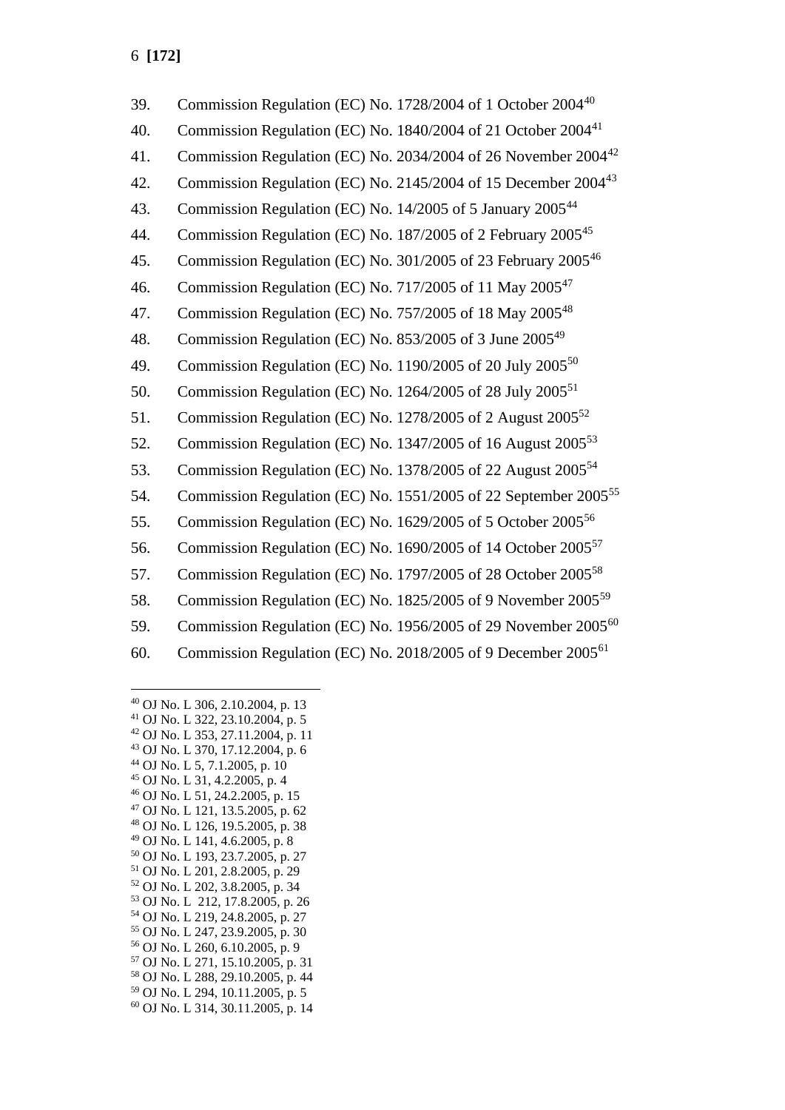| 39. | Commission Regulation (EC) No. 1728/2004 of 1 October 2004 <sup>40</sup>    |
|-----|-----------------------------------------------------------------------------|
| 40. | Commission Regulation (EC) No. 1840/2004 of 21 October 2004 <sup>41</sup>   |
| 41. | Commission Regulation (EC) No. 2034/2004 of 26 November 2004 <sup>42</sup>  |
| 42. | Commission Regulation (EC) No. 2145/2004 of 15 December 2004 <sup>43</sup>  |
| 43. | Commission Regulation (EC) No. 14/2005 of 5 January 2005 <sup>44</sup>      |
| 44. | Commission Regulation (EC) No. 187/2005 of 2 February 2005 <sup>45</sup>    |
| 45. | Commission Regulation (EC) No. 301/2005 of 23 February 2005 <sup>46</sup>   |
| 46. | Commission Regulation (EC) No. 717/2005 of 11 May 2005 <sup>47</sup>        |
| 47. | Commission Regulation (EC) No. 757/2005 of 18 May 2005 <sup>48</sup>        |
| 48. | Commission Regulation (EC) No. 853/2005 of 3 June 2005 <sup>49</sup>        |
| 49. | Commission Regulation (EC) No. 1190/2005 of 20 July 2005 <sup>50</sup>      |
| 50. | Commission Regulation (EC) No. 1264/2005 of 28 July 2005 <sup>51</sup>      |
| 51. | Commission Regulation (EC) No. 1278/2005 of 2 August 2005 <sup>52</sup>     |
| 52. | Commission Regulation (EC) No. 1347/2005 of 16 August 2005 <sup>53</sup>    |
| 53. | Commission Regulation (EC) No. 1378/2005 of 22 August 2005 <sup>54</sup>    |
| 54. | Commission Regulation (EC) No. 1551/2005 of 22 September 2005 <sup>55</sup> |
| 55. | Commission Regulation (EC) No. 1629/2005 of 5 October 2005 <sup>56</sup>    |
| 56. | Commission Regulation (EC) No. 1690/2005 of 14 October 2005 <sup>57</sup>   |
| 57. | Commission Regulation (EC) No. 1797/2005 of 28 October 2005 <sup>58</sup>   |
| 58. | Commission Regulation (EC) No. 1825/2005 of 9 November 2005 <sup>59</sup>   |
| 59. | Commission Regulation (EC) No. 1956/2005 of 29 November 2005 <sup>60</sup>  |
| 60. | Commission Regulation (EC) No. 2018/2005 of 9 December 2005 <sup>61</sup>   |

<sup>40</sup> OJ No. L 306, 2.10.2004, p. 13

- <sup>42</sup> OJ No. L 353, 27.11.2004, p. 11 <sup>43</sup> OJ No. L 370, 17.12.2004, p. 6
- <sup>44</sup> OJ No. L 5, 7.1.2005, p. 10
- <sup>45</sup> OJ No. L 31, 4.2.2005, p. 4
- <sup>46</sup> OJ No. L 51, 24.2.2005, p. 15
- <sup>47</sup> OJ No. L 121, 13.5.2005, p. 62
- <sup>48</sup> OJ No. L 126, 19.5.2005, p. 38
- <sup>49</sup> OJ No. L 141, 4.6.2005, p. 8
- <sup>50</sup> OJ No. L 193, 23.7.2005, p. 27
- <sup>51</sup> OJ No. L 201, 2.8.2005, p. 29
- <sup>52</sup> OJ No. L 202, 3.8.2005, p. 34 <sup>53</sup> OJ No. L 212, 17.8.2005, p. 26
- <sup>54</sup> OJ No. L 219, 24.8.2005, p. 27
- 
- <sup>55</sup> OJ No. L 247, 23.9.2005, p. 30
- <sup>56</sup> OJ No. L 260, 6.10.2005, p. 9 <sup>57</sup> OJ No. L 271, 15.10.2005, p. 31
- <sup>58</sup> OJ No. L 288, 29.10.2005, p. 44
- <sup>59</sup> OJ No. L 294, 10.11.2005, p. 5
- <sup>60</sup> OJ No. L 314, 30.11.2005, p. 14

<sup>41</sup> OJ No. L 322, 23.10.2004, p. 5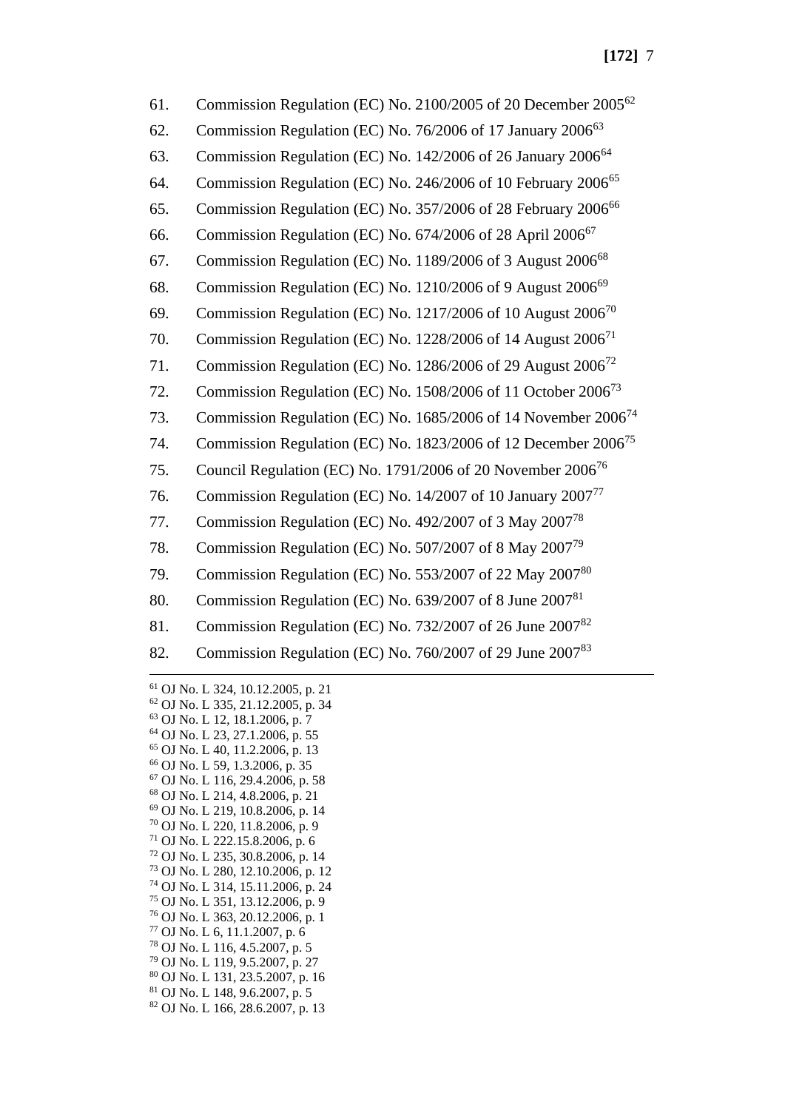| 61. | Commission Regulation (EC) No. 2100/2005 of 20 December 2005 <sup>62</sup> |
|-----|----------------------------------------------------------------------------|
| 62. | Commission Regulation (EC) No. 76/2006 of 17 January 2006 <sup>63</sup>    |
| 63. | Commission Regulation (EC) No. 142/2006 of 26 January 2006 <sup>64</sup>   |
| 64. | Commission Regulation (EC) No. 246/2006 of 10 February 2006 <sup>65</sup>  |
| 65. | Commission Regulation (EC) No. 357/2006 of 28 February 2006 <sup>66</sup>  |
| 66. | Commission Regulation (EC) No. 674/2006 of 28 April 2006 <sup>67</sup>     |
| 67. | Commission Regulation (EC) No. 1189/2006 of 3 August 2006 <sup>68</sup>    |
| 68. | Commission Regulation (EC) No. 1210/2006 of 9 August 2006 <sup>69</sup>    |
| 69. | Commission Regulation (EC) No. 1217/2006 of 10 August 2006 <sup>70</sup>   |
| 70. | Commission Regulation (EC) No. 1228/2006 of 14 August 2006 <sup>71</sup>   |
| 71. | Commission Regulation (EC) No. 1286/2006 of 29 August 2006 <sup>72</sup>   |
| 72. | Commission Regulation (EC) No. 1508/2006 of 11 October 2006 <sup>73</sup>  |
| 73. | Commission Regulation (EC) No. 1685/2006 of 14 November 2006 <sup>74</sup> |
| 74. | Commission Regulation (EC) No. 1823/2006 of 12 December 2006 <sup>75</sup> |
| 75. | Council Regulation (EC) No. 1791/2006 of 20 November 2006 <sup>76</sup>    |
| 76. | Commission Regulation (EC) No. 14/2007 of 10 January 2007 <sup>77</sup>    |
| 77. | Commission Regulation (EC) No. 492/2007 of 3 May 2007 <sup>78</sup>        |
| 78. | Commission Regulation (EC) No. 507/2007 of 8 May 2007 <sup>79</sup>        |
| 79. | Commission Regulation (EC) No. 553/2007 of 22 May 2007 <sup>80</sup>       |
| 80. | Commission Regulation (EC) No. 639/2007 of 8 June 2007 <sup>81</sup>       |
| 81. | Commission Regulation (EC) No. 732/2007 of 26 June 2007 <sup>82</sup>      |
| 82. | Commission Regulation (EC) No. 760/2007 of 29 June 2007 <sup>83</sup>      |
|     |                                                                            |

 OJ No. L 324, 10.12.2005, p. 21 OJ No. L 335, 21.12.2005, p. 34 OJ No. L 12, 18.1.2006, p. 7 OJ No. L 23, 27.1.2006, p. 55 OJ No. L 40, 11.2.2006, p. 13 OJ No. L 59, 1.3.2006, p. 35 OJ No. L 116, 29.4.2006, p. 58 OJ No. L 214, 4.8.2006, p. 21 OJ No. L 219, 10.8.2006, p. 14 OJ No. L 220, 11.8.2006, p. 9 OJ No. L 222.15.8.2006, p. 6 OJ No. L 235, 30.8.2006, p. 14 OJ No. L 280, 12.10.2006, p. 12 OJ No. L 314, 15.11.2006, p. 24 OJ No. L 351, 13.12.2006, p. 9 OJ No. L 363, 20.12.2006, p. 1 OJ No. L 6, 11.1.2007, p. 6 OJ No. L 116, 4.5.2007, p. 5 OJ No. L 119, 9.5.2007, p. 27 OJ No. L 131, 23.5.2007, p. 16 OJ No. L 148, 9.6.2007, p. 5 OJ No. L 166, 28.6.2007, p. 13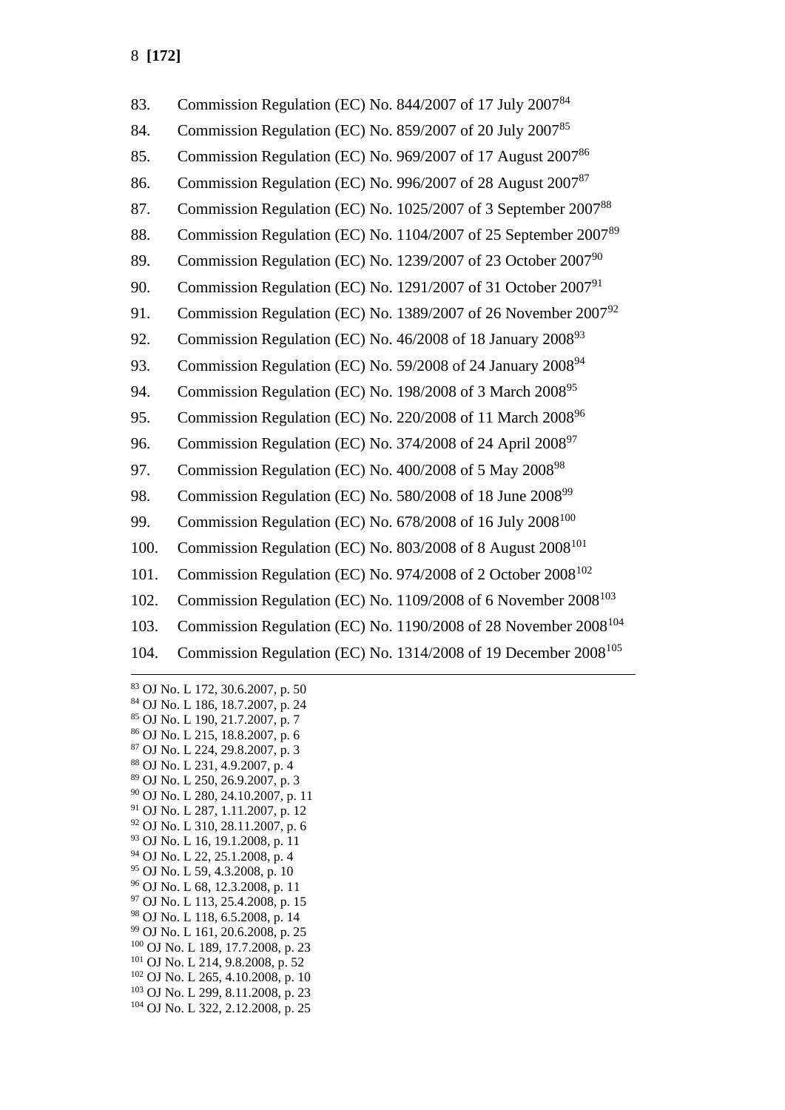| 83.  | Commission Regulation (EC) No. 844/2007 of 17 July 2007 <sup>84</sup>       |
|------|-----------------------------------------------------------------------------|
| 84.  | Commission Regulation (EC) No. 859/2007 of 20 July 2007 <sup>85</sup>       |
| 85.  | Commission Regulation (EC) No. 969/2007 of 17 August 2007 <sup>86</sup>     |
| 86.  | Commission Regulation (EC) No. 996/2007 of 28 August 2007 <sup>87</sup>     |
| 87.  | Commission Regulation (EC) No. 1025/2007 of 3 September 200788              |
| 88.  | Commission Regulation (EC) No. 1104/2007 of 25 September 200789             |
| 89.  | Commission Regulation (EC) No. 1239/2007 of 23 October 2007 <sup>90</sup>   |
| 90.  | Commission Regulation (EC) No. 1291/2007 of 31 October 2007 <sup>91</sup>   |
| 91.  | Commission Regulation (EC) No. 1389/2007 of 26 November 200792              |
| 92.  | Commission Regulation (EC) No. 46/2008 of 18 January 2008 <sup>93</sup>     |
| 93.  | Commission Regulation (EC) No. 59/2008 of 24 January 2008 <sup>94</sup>     |
| 94.  | Commission Regulation (EC) No. 198/2008 of 3 March 2008 <sup>95</sup>       |
| 95.  | Commission Regulation (EC) No. 220/2008 of 11 March 2008 <sup>96</sup>      |
| 96.  | Commission Regulation (EC) No. 374/2008 of 24 April 2008 <sup>97</sup>      |
| 97.  | Commission Regulation (EC) No. 400/2008 of 5 May 2008 <sup>98</sup>         |
| 98.  | Commission Regulation (EC) No. 580/2008 of 18 June 2008 <sup>99</sup>       |
| 99.  | Commission Regulation (EC) No. 678/2008 of 16 July 2008 <sup>100</sup>      |
| 100. | Commission Regulation (EC) No. 803/2008 of 8 August 2008 <sup>101</sup>     |
| 101. | Commission Regulation (EC) No. 974/2008 of 2 October 2008 <sup>102</sup>    |
| 102. | Commission Regulation (EC) No. 1109/2008 of 6 November 2008 <sup>103</sup>  |
| 103. | Commission Regulation (EC) No. 1190/2008 of 28 November 2008 <sup>104</sup> |
| 104. | Commission Regulation (EC) No. 1314/2008 of 19 December 2008 <sup>105</sup> |
|      |                                                                             |

 OJ No. L 172, 30.6.2007, p. 50 OJ No. L 186, 18.7.2007, p. 24 OJ No. L 190, 21.7.2007, p. 7 OJ No. L 215, 18.8.2007, p. 6 OJ No. L 224, 29.8.2007, p. 3 OJ No. L 231, 4.9.2007, p. 4 OJ No. L 250, 26.9.2007, p. 3 OJ No. L 280, 24.10.2007, p. 11 OJ No. L 287, 1.11.2007, p. 12 OJ No. L 310, 28.11.2007, p. 6 OJ No. L 16, 19.1.2008, p. 11 OJ No. L 22, 25.1.2008, p. 4 OJ No. L 59, 4.3.2008, p. 10 OJ No. L 68, 12.3.2008, p. 11 OJ No. L 113, 25.4.2008, p. 15 OJ No. L 118, 6.5.2008, p. 14 OJ No. L 161, 20.6.2008, p. 25 OJ No. L 189, 17.7.2008, p. 23 OJ No. L 214, 9.8.2008, p. 52 OJ No. L 265, 4.10.2008, p. 10 OJ No. L 299, 8.11.2008, p. 23 OJ No. L 322, 2.12.2008, p. 25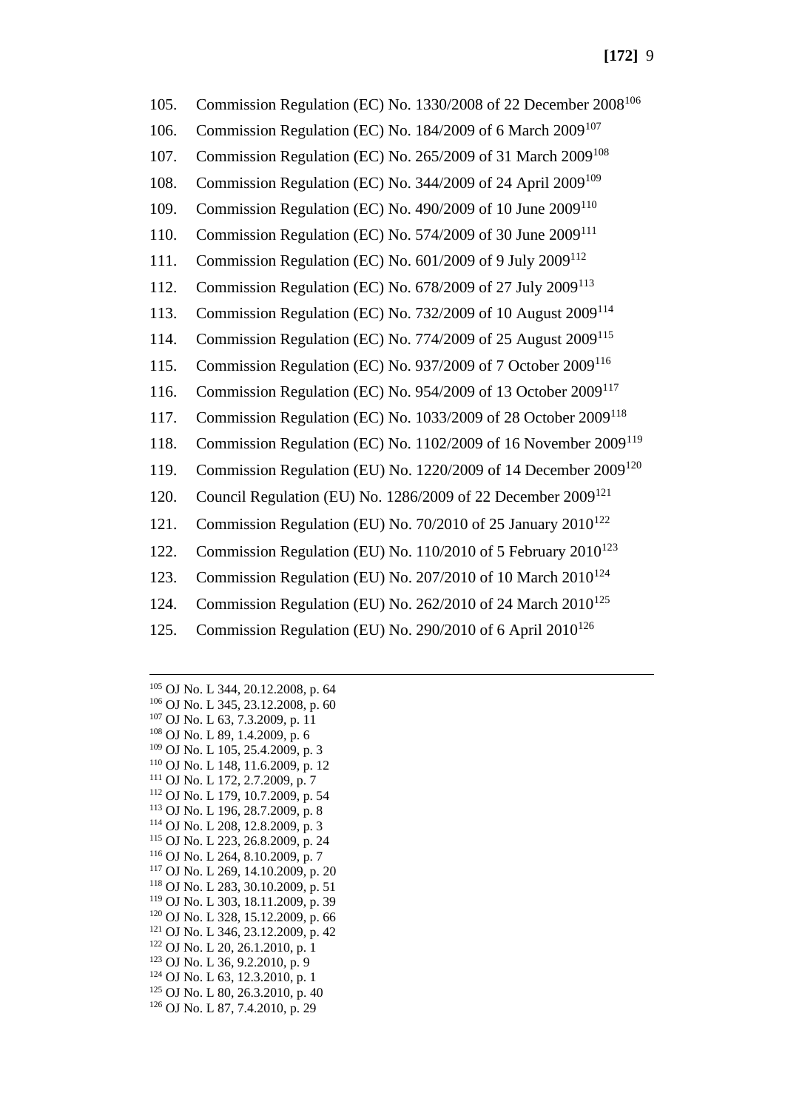105. Commission Regulation (EC) No. 1330/2008 of 22 December 2008<sup>106</sup> 106. Commission Regulation (EC) No. 184/2009 of 6 March 2009<sup>107</sup> 107. Commission Regulation (EC) No. 265/2009 of 31 March 2009<sup>108</sup> 108. Commission Regulation (EC) No. 344/2009 of 24 April 2009<sup>109</sup> 109. Commission Regulation (EC) No. 490/2009 of 10 June 2009<sup>110</sup> 110. Commission Regulation (EC) No. 574/2009 of 30 June 2009<sup>111</sup> 111. Commission Regulation (EC) No. 601/2009 of 9 July 2009<sup>112</sup> 112. Commission Regulation (EC) No. 678/2009 of 27 July 2009<sup>113</sup> 113. Commission Regulation (EC) No. 732/2009 of 10 August 2009<sup>114</sup> 114. Commission Regulation (EC) No. 774/2009 of 25 August 2009<sup>115</sup> 115. Commission Regulation (EC) No. 937/2009 of 7 October 2009<sup>116</sup> 116. Commission Regulation (EC) No. 954/2009 of 13 October 2009<sup>117</sup> 117. Commission Regulation (EC) No. 1033/2009 of 28 October 2009<sup>118</sup> 118. Commission Regulation (EC) No. 1102/2009 of 16 November 2009<sup>119</sup> 119. Commission Regulation (EU) No. 1220/2009 of 14 December 2009<sup>120</sup> 120. Council Regulation (EU) No. 1286/2009 of 22 December 2009<sup>121</sup> 121. Commission Regulation (EU) No. 70/2010 of 25 January 2010<sup>122</sup> 122. Commission Regulation (EU) No. 110/2010 of 5 February  $2010^{123}$ 123. Commission Regulation (EU) No. 207/2010 of 10 March  $2010^{124}$ 124. Commission Regulation (EU) No. 262/2010 of 24 March 2010<sup>125</sup> 125. Commission Regulation (EU) No. 290/2010 of 6 April 2010<sup>126</sup>

 OJ No. L 344, 20.12.2008, p. 64 OJ No. L 345, 23.12.2008, p. 60 OJ No. L 63, 7.3.2009, p. 11 OJ No. L 89, 1.4.2009, p. 6 OJ No. L 105, 25.4.2009, p. 3 OJ No. L 148, 11.6.2009, p. 12 OJ No. L 172, 2.7.2009, p. 7 OJ No. L 179, 10.7.2009, p. 54 OJ No. L 196, 28.7.2009, p. 8 OJ No. L 208, 12.8.2009, p. 3 OJ No. L 223, 26.8.2009, p. 24 OJ No. L 264, 8.10.2009, p. 7 OJ No. L 269, 14.10.2009, p. 20 OJ No. L 283, 30.10.2009, p. 51 OJ No. L 303, 18.11.2009, p. 39 OJ No. L 328, 15.12.2009, p. 66 OJ No. L 346, 23.12.2009, p. 42 OJ No. L 20, 26.1.2010, p. 1 OJ No. L 36, 9.2.2010, p. 9 OJ No. L 63, 12.3.2010, p. 1 OJ No. L 80, 26.3.2010, p. 40 OJ No. L 87, 7.4.2010, p. 29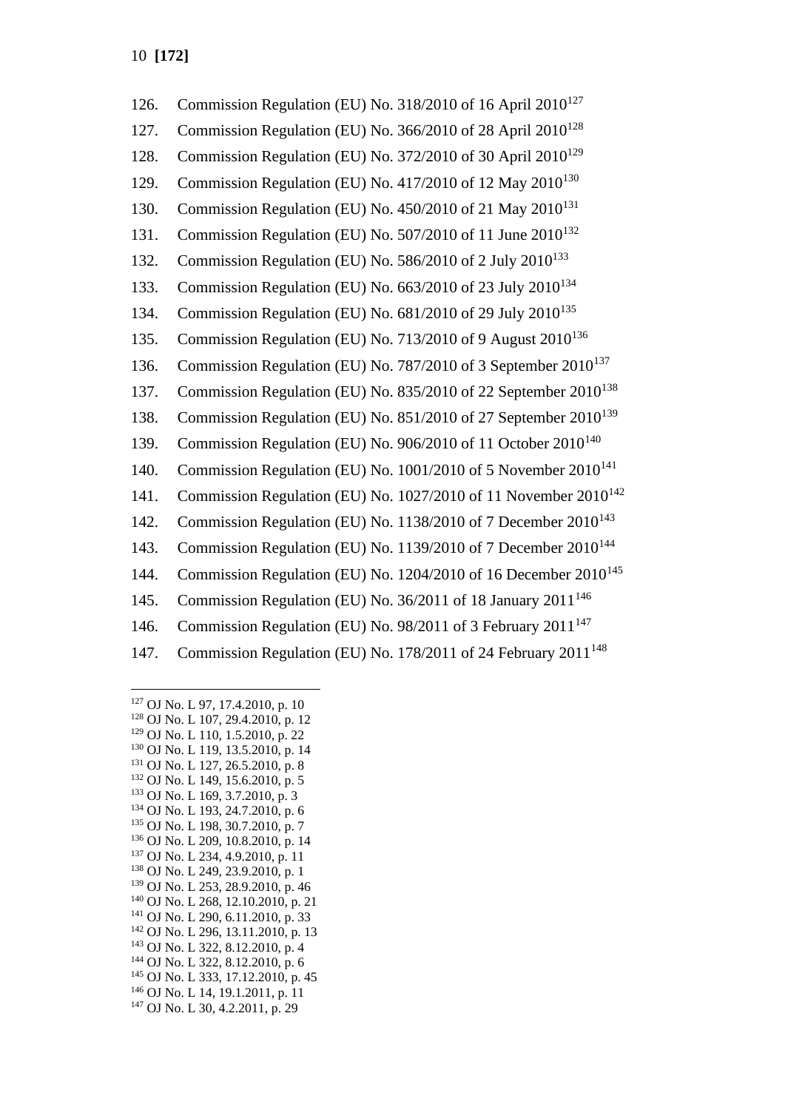| 126. | Commission Regulation (EU) No. 318/2010 of 16 April 2010 <sup>127</sup>     |
|------|-----------------------------------------------------------------------------|
| 127. | Commission Regulation (EU) No. 366/2010 of 28 April 2010 <sup>128</sup>     |
| 128. | Commission Regulation (EU) No. 372/2010 of 30 April 2010 <sup>129</sup>     |
| 129. | Commission Regulation (EU) No. 417/2010 of 12 May 2010 <sup>130</sup>       |
| 130. | Commission Regulation (EU) No. 450/2010 of 21 May 2010 <sup>131</sup>       |
| 131. | Commission Regulation (EU) No. 507/2010 of 11 June 2010 <sup>132</sup>      |
| 132. | Commission Regulation (EU) No. 586/2010 of 2 July 2010 <sup>133</sup>       |
| 133. | Commission Regulation (EU) No. 663/2010 of 23 July 2010 <sup>134</sup>      |
| 134. | Commission Regulation (EU) No. 681/2010 of 29 July 2010 <sup>135</sup>      |
| 135. | Commission Regulation (EU) No. 713/2010 of 9 August 2010 <sup>136</sup>     |
| 136. | Commission Regulation (EU) No. 787/2010 of 3 September 2010 <sup>137</sup>  |
| 137. | Commission Regulation (EU) No. 835/2010 of 22 September 2010 <sup>138</sup> |
| 138. | Commission Regulation (EU) No. 851/2010 of 27 September 2010 <sup>139</sup> |
| 139. | Commission Regulation (EU) No. 906/2010 of 11 October 2010 <sup>140</sup>   |
| 140. | Commission Regulation (EU) No. 1001/2010 of 5 November 2010 <sup>141</sup>  |
| 141. | Commission Regulation (EU) No. 1027/2010 of 11 November 2010 <sup>142</sup> |
| 142. | Commission Regulation (EU) No. 1138/2010 of 7 December 2010 <sup>143</sup>  |
| 143. | Commission Regulation (EU) No. 1139/2010 of 7 December 2010 <sup>144</sup>  |
| 144. | Commission Regulation (EU) No. 1204/2010 of 16 December 2010 <sup>145</sup> |
| 145. | Commission Regulation (EU) No. 36/2011 of 18 January 2011 <sup>146</sup>    |
| 146. | Commission Regulation (EU) No. 98/2011 of 3 February 2011 <sup>147</sup>    |
| 147. | Commission Regulation (EU) No. 178/2011 of 24 February 2011 <sup>148</sup>  |

<sup>127</sup> OJ No. L 97, 17.4.2010, p. 10 <sup>128</sup> OJ No. L 107, 29.4.2010, p. 12 <sup>129</sup> OJ No. L 110, 1.5.2010, p. 22 <sup>130</sup> OJ No. L 119, 13.5.2010, p. 14 <sup>131</sup> OJ No. L 127, 26.5.2010, p. 8 <sup>132</sup> OJ No. L 149, 15.6.2010, p. 5 <sup>133</sup> OJ No. L 169, 3.7.2010, p. 3 <sup>134</sup> OJ No. L 193, 24.7.2010, p. 6 <sup>135</sup> OJ No. L 198, 30.7.2010, p. 7 <sup>136</sup> OJ No. L 209, 10.8.2010, p. 14 <sup>137</sup> OJ No. L 234, 4.9.2010, p. 11 <sup>138</sup> OJ No. L 249, 23.9.2010, p. 1 <sup>139</sup> OJ No. L 253, 28.9.2010, p. 46 <sup>140</sup> OJ No. L 268, 12.10.2010, p. 21 <sup>141</sup> OJ No. L 290, 6.11.2010, p. 33 <sup>142</sup> OJ No. L 296, 13.11.2010, p. 13 <sup>143</sup> OJ No. L 322, 8.12.2010, p. 4 <sup>144</sup> OJ No. L 322, 8.12.2010, p. 6 <sup>145</sup> OJ No. L 333, 17.12.2010, p. 45 <sup>146</sup> OJ No. L 14, 19.1.2011, p. 11 <sup>147</sup> OJ No. L 30, 4.2.2011, p. 29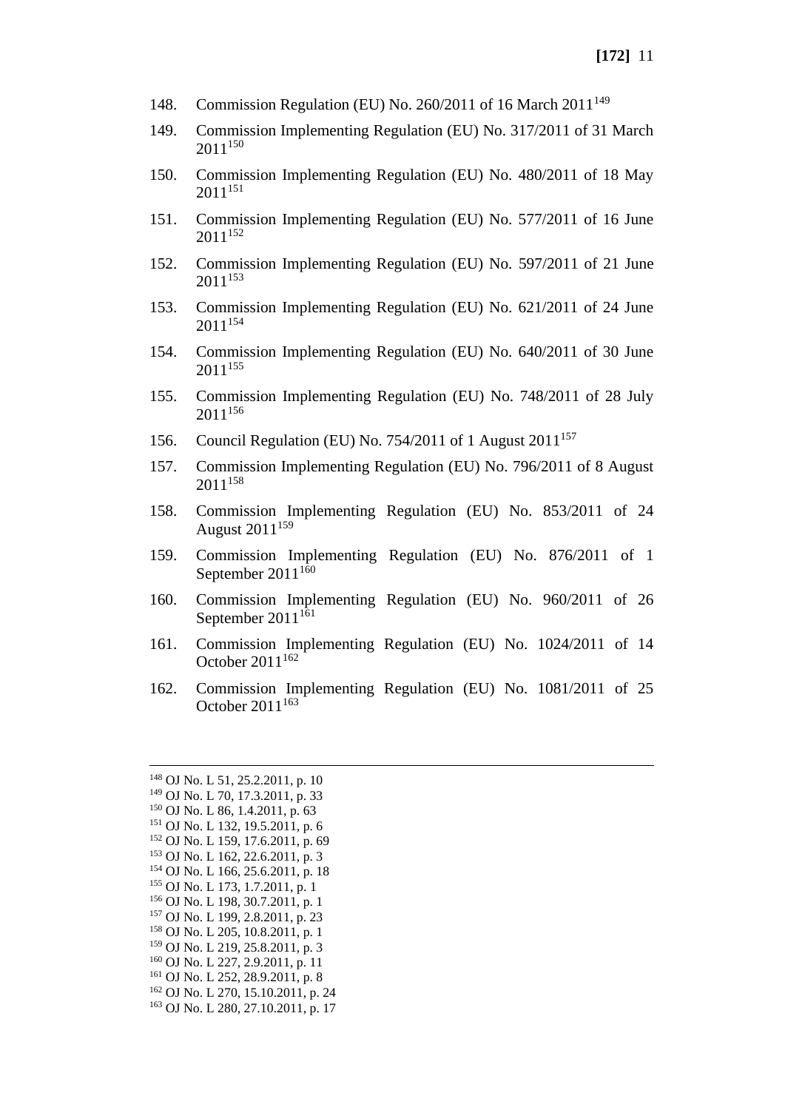- 148. Commission Regulation (EU) No. 260/2011 of 16 March 2011<sup>149</sup>
- 149. Commission Implementing Regulation (EU) No. 317/2011 of 31 March  $2011^{150}$
- 150. Commission Implementing Regulation (EU) No. 480/2011 of 18 May  $2011^{151}$
- 151. Commission Implementing Regulation (EU) No. 577/2011 of 16 June 2011<sup>152</sup>
- 152. Commission Implementing Regulation (EU) No. 597/2011 of 21 June 2011<sup>153</sup>
- 153. Commission Implementing Regulation (EU) No. 621/2011 of 24 June 2011<sup>154</sup>
- 154. Commission Implementing Regulation (EU) No. 640/2011 of 30 June 2011<sup>155</sup>
- 155. Commission Implementing Regulation (EU) No. 748/2011 of 28 July 2011<sup>156</sup>
- 156. Council Regulation (EU) No. 754/2011 of 1 August 2011<sup>157</sup>
- 157. Commission Implementing Regulation (EU) No. 796/2011 of 8 August 2011<sup>158</sup>
- 158. Commission Implementing Regulation (EU) No. 853/2011 of 24 August 2011<sup>159</sup>
- 159. Commission Implementing Regulation (EU) No. 876/2011 of 1 September  $2011^{160}$
- 160. Commission Implementing Regulation (EU) No. 960/2011 of 26 September  $2011^{161}$
- 161. Commission Implementing Regulation (EU) No. 1024/2011 of 14 October  $2011^{162}$
- 162. Commission Implementing Regulation (EU) No. 1081/2011 of 25 October  $2011^{163}$

 OJ No. L 51, 25.2.2011, p. 10 OJ No. L 70, 17.3.2011, p. 33 OJ No. L 86, 1.4.2011, p. 63 OJ No. L 132, 19.5.2011, p. 6 OJ No. L 159, 17.6.2011, p. 69 OJ No. L 162, 22.6.2011, p. 3 OJ No. L 166, 25.6.2011, p. 18 OJ No. L 173, 1.7.2011, p. 1 OJ No. L 198, 30.7.2011, p. 1 OJ No. L 199, 2.8.2011, p. 23 OJ No. L 205, 10.8.2011, p. 1 OJ No. L 219, 25.8.2011, p. 3 OJ No. L 227, 2.9.2011, p. 11 OJ No. L 252, 28.9.2011, p. 8 OJ No. L 270, 15.10.2011, p. 24 OJ No. L 280, 27.10.2011, p. 17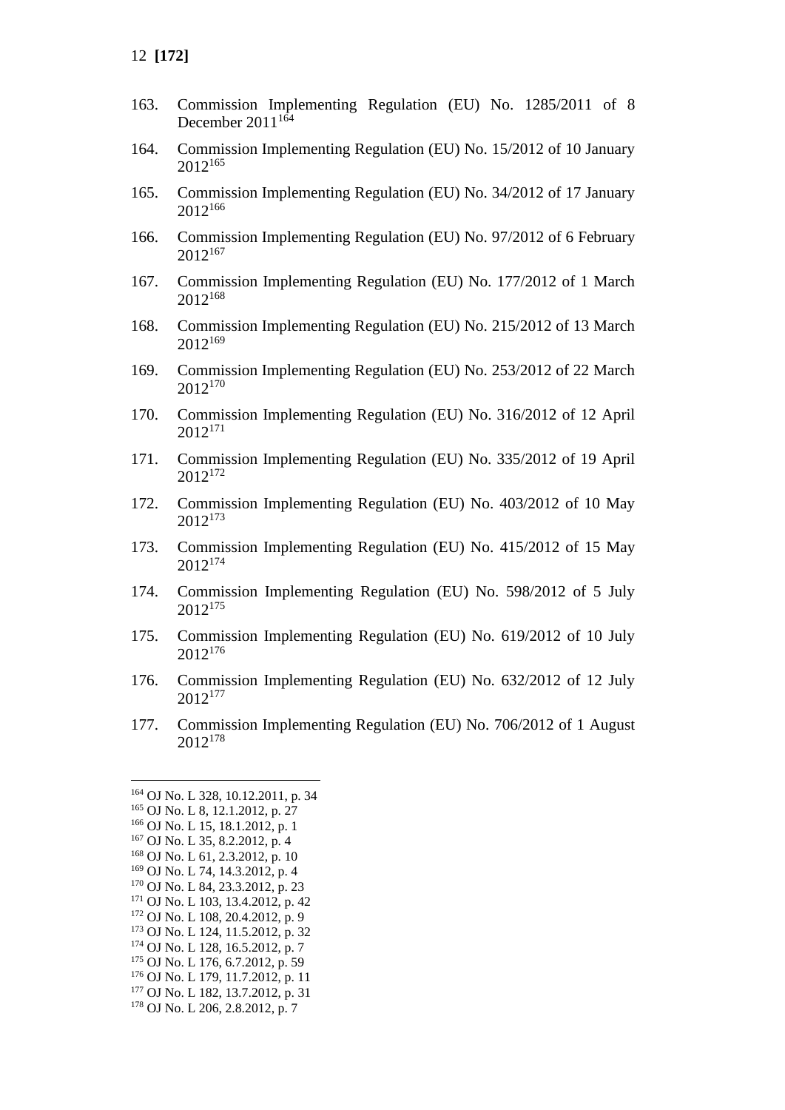- 163. Commission Implementing Regulation (EU) No. 1285/2011 of 8 December  $2011^{164}$
- 164. Commission Implementing Regulation (EU) No. 15/2012 of 10 January 2012<sup>165</sup>
- 165. Commission Implementing Regulation (EU) No. 34/2012 of 17 January 2012<sup>166</sup>
- 166. Commission Implementing Regulation (EU) No. 97/2012 of 6 February 2012<sup>167</sup>
- 167. Commission Implementing Regulation (EU) No. 177/2012 of 1 March 2012<sup>168</sup>
- 168. Commission Implementing Regulation (EU) No. 215/2012 of 13 March 2012<sup>169</sup>
- 169. Commission Implementing Regulation (EU) No. 253/2012 of 22 March 2012<sup>170</sup>
- 170. Commission Implementing Regulation (EU) No. 316/2012 of 12 April 2012<sup>171</sup>
- 171. Commission Implementing Regulation (EU) No. 335/2012 of 19 April 2012<sup>172</sup>
- 172. Commission Implementing Regulation (EU) No. 403/2012 of 10 May 2012<sup>173</sup>
- 173. Commission Implementing Regulation (EU) No. 415/2012 of 15 May 2012<sup>174</sup>
- 174. Commission Implementing Regulation (EU) No. 598/2012 of 5 July 2012<sup>175</sup>
- 175. Commission Implementing Regulation (EU) No. 619/2012 of 10 July 2012<sup>176</sup>
- 176. Commission Implementing Regulation (EU) No. 632/2012 of 12 July 2012<sup>177</sup>
- 177. Commission Implementing Regulation (EU) No. 706/2012 of 1 August 2012<sup>178</sup>

- <sup>173</sup> OJ No. L 124, 11.5.2012, p. 32
- <sup>174</sup> OJ No. L 128, 16.5.2012, p. 7
- <sup>175</sup> OJ No. L 176, 6.7.2012, p. 59

- <sup>177</sup> OJ No. L 182, 13.7.2012, p. 31
- <sup>178</sup> OJ No. L 206, 2.8.2012, p. 7

<sup>164</sup> OJ No. L 328, 10.12.2011, p. 34

<sup>165</sup> OJ No. L 8, 12.1.2012, p. 27

<sup>166</sup> OJ No. L 15, 18.1.2012, p. 1

<sup>167</sup> OJ No. L 35, 8.2.2012, p. 4

<sup>168</sup> OJ No. L 61, 2.3.2012, p. 10

<sup>169</sup> OJ No. L 74, 14.3.2012, p. 4 <sup>170</sup> OJ No. L 84, 23.3.2012, p. 23

<sup>171</sup> OJ No. L 103, 13.4.2012, p. 42

<sup>172</sup> OJ No. L 108, 20.4.2012, p. 9

<sup>176</sup> OJ No. L 179, 11.7.2012, p. 11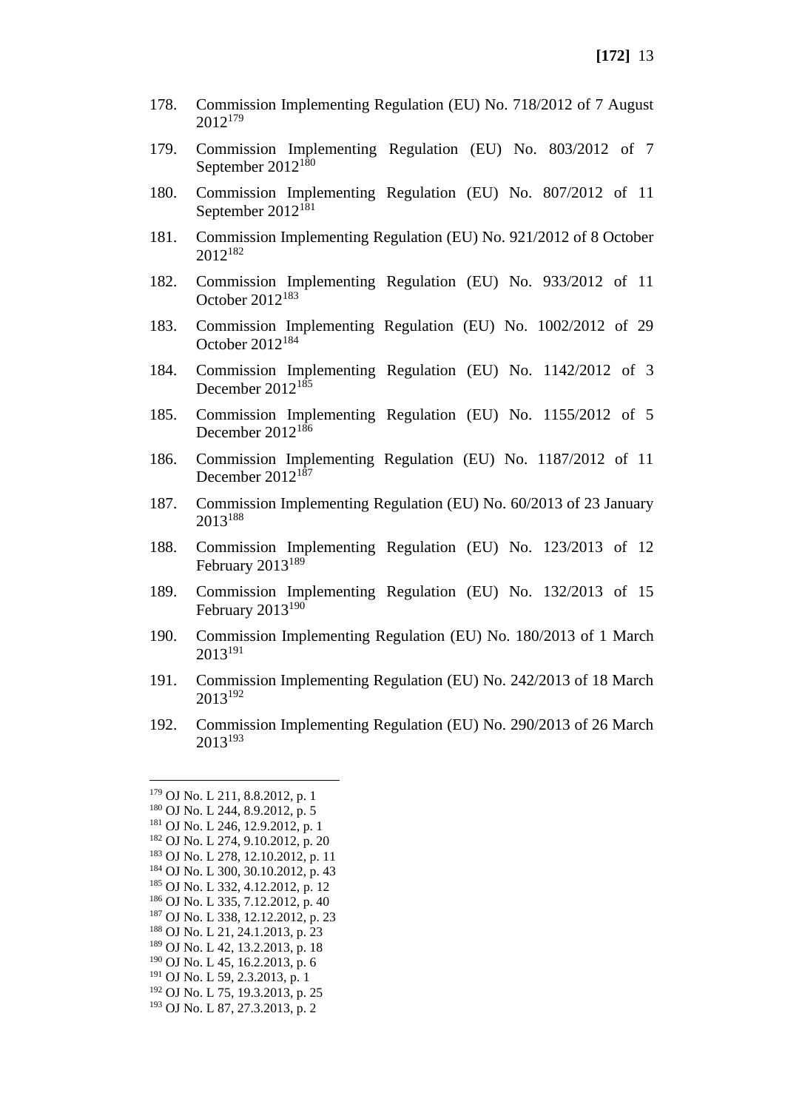- 178. Commission Implementing Regulation (EU) No. 718/2012 of 7 August 2012<sup>179</sup>
- 179. Commission Implementing Regulation (EU) No. 803/2012 of 7 September  $2012^{180}$
- 180. Commission Implementing Regulation (EU) No. 807/2012 of 11 September 2012<sup>181</sup>
- 181. Commission Implementing Regulation (EU) No. 921/2012 of 8 October 2012<sup>182</sup>
- 182. Commission Implementing Regulation (EU) No. 933/2012 of 11 October 2012<sup>183</sup>
- 183. Commission Implementing Regulation (EU) No. 1002/2012 of 29 October 2012<sup>184</sup>
- 184. Commission Implementing Regulation (EU) No. 1142/2012 of 3 December  $2012^{185}$
- 185. Commission Implementing Regulation (EU) No. 1155/2012 of 5 December 2012<sup>186</sup>
- 186. Commission Implementing Regulation (EU) No. 1187/2012 of 11 December  $2012^{187}$
- 187. Commission Implementing Regulation (EU) No. 60/2013 of 23 January 2013<sup>188</sup>
- 188. Commission Implementing Regulation (EU) No. 123/2013 of 12 February 2013<sup>189</sup>
- 189. Commission Implementing Regulation (EU) No. 132/2013 of 15 February 2013<sup>190</sup>
- 190. Commission Implementing Regulation (EU) No. 180/2013 of 1 March 2013<sup>191</sup>
- 191. Commission Implementing Regulation (EU) No. 242/2013 of 18 March 2013<sup>192</sup>
- 192. Commission Implementing Regulation (EU) No. 290/2013 of 26 March 2013<sup>193</sup>

<sup>179</sup> OJ No. L 211, 8.8.2012, p. 1 <sup>180</sup> OJ No. L 244, 8.9.2012, p. 5 <sup>181</sup> OJ No. L 246, 12.9.2012, p. 1 <sup>182</sup> OJ No. L 274, 9.10.2012, p. 20 <sup>183</sup> OJ No. L 278, 12.10.2012, p. 11 <sup>184</sup> OJ No. L 300, 30.10.2012, p. 43 <sup>185</sup> OJ No. L 332, 4.12.2012, p. 12 <sup>186</sup> OJ No. L 335, 7.12.2012, p. 40 <sup>187</sup> OJ No. L 338, 12.12.2012, p. 23 <sup>188</sup> OJ No. L 21, 24.1.2013, p. 23 <sup>189</sup> OJ No. L 42, 13.2.2013, p. 18 <sup>190</sup> OJ No. L 45, 16.2.2013, p. 6 <sup>191</sup> OJ No. L 59, 2.3.2013, p. 1 <sup>192</sup> OJ No. L 75, 19.3.2013, p. 25 <sup>193</sup> OJ No. L 87, 27.3.2013, p. 2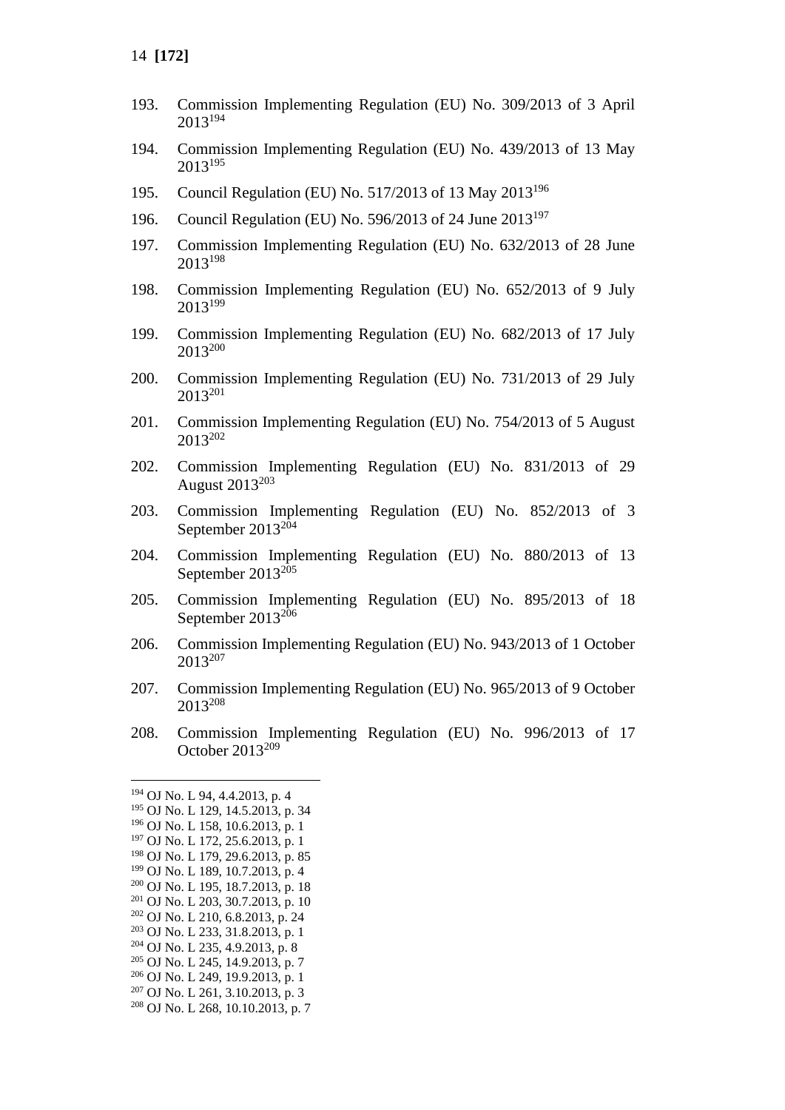- 193. Commission Implementing Regulation (EU) No. 309/2013 of 3 April 2013<sup>194</sup>
- 194. Commission Implementing Regulation (EU) No. 439/2013 of 13 May 2013<sup>195</sup>
- 195. Council Regulation (EU) No. 517/2013 of 13 May 2013<sup>196</sup>
- 196. Council Regulation (EU) No. 596/2013 of 24 June 2013<sup>197</sup>
- 197. Commission Implementing Regulation (EU) No. 632/2013 of 28 June 2013<sup>198</sup>
- 198. Commission Implementing Regulation (EU) No. 652/2013 of 9 July 2013<sup>199</sup>
- 199. Commission Implementing Regulation (EU) No. 682/2013 of 17 July 2013<sup>200</sup>
- 200. Commission Implementing Regulation (EU) No. 731/2013 of 29 July 2013<sup>201</sup>
- 201. Commission Implementing Regulation (EU) No. 754/2013 of 5 August 2013<sup>202</sup>
- 202. Commission Implementing Regulation (EU) No. 831/2013 of 29 August 2013<sup>203</sup>
- 203. Commission Implementing Regulation (EU) No. 852/2013 of 3 September 2013<sup>204</sup>
- 204. Commission Implementing Regulation (EU) No. 880/2013 of 13 September  $2013^{205}$
- 205. Commission Implementing Regulation (EU) No. 895/2013 of 18 September 2013<sup>206</sup>
- 206. Commission Implementing Regulation (EU) No. 943/2013 of 1 October 2013<sup>207</sup>
- 207. Commission Implementing Regulation (EU) No. 965/2013 of 9 October 2013<sup>208</sup>
- 208. Commission Implementing Regulation (EU) No. 996/2013 of 17 October 2013<sup>209</sup>

<sup>194</sup> OJ No. L 94, 4.4.2013, p. 4

<sup>195</sup> OJ No. L 129, 14.5.2013, p. 34

<sup>196</sup> OJ No. L 158, 10.6.2013, p. 1

<sup>197</sup> OJ No. L 172, 25.6.2013, p. 1 <sup>198</sup> OJ No. L 179, 29.6.2013, p. 85

<sup>199</sup> OJ No. L 189, 10.7.2013, p. 4

<sup>200</sup> OJ No. L 195, 18.7.2013, p. 18

<sup>201</sup> OJ No. L 203, 30.7.2013, p. 10

<sup>202</sup> OJ No. L 210, 6.8.2013, p. 24

<sup>203</sup> OJ No. L 233, 31.8.2013, p. 1

<sup>204</sup> OJ No. L 235, 4.9.2013, p. 8

<sup>205</sup> OJ No. L 245, 14.9.2013, p. 7

<sup>206</sup> OJ No. L 249, 19.9.2013, p. 1

 $207$  OJ No. L 261, 3, 10, 2013, p. 3

<sup>208</sup> OJ No. L 268, 10.10.2013, p. 7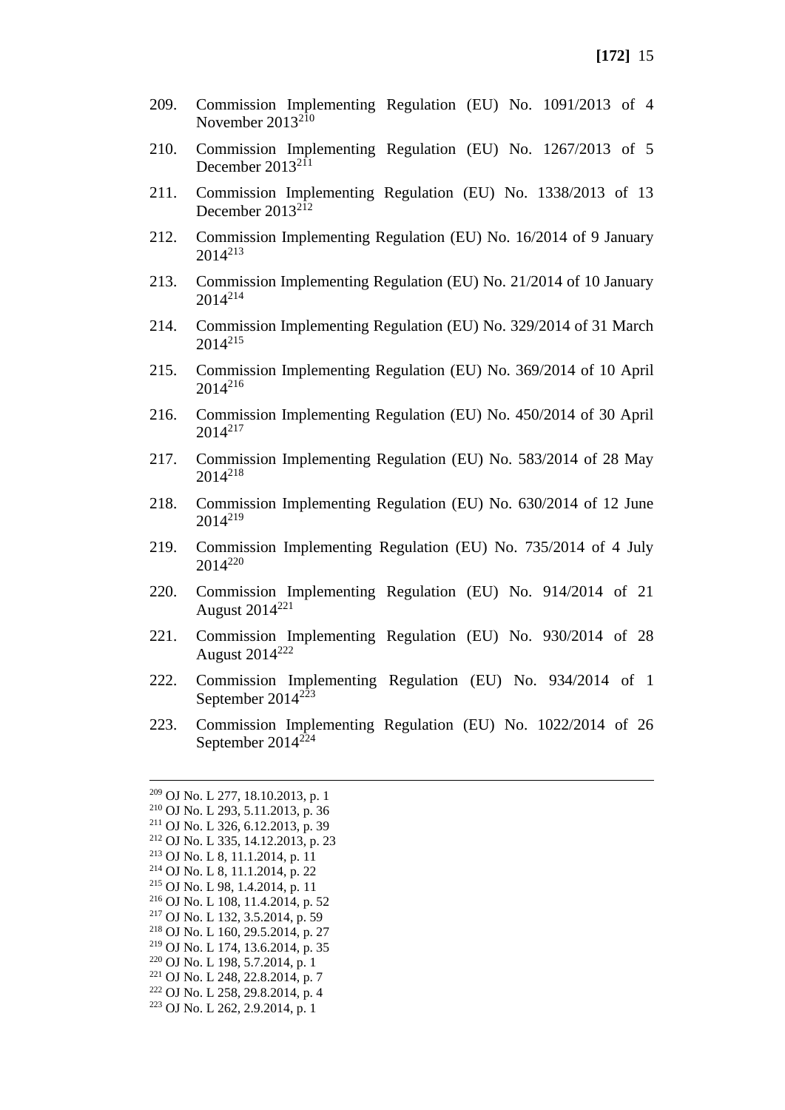- 209. Commission Implementing Regulation (EU) No. 1091/2013 of 4 November 2013<sup>210</sup>
- 210. Commission Implementing Regulation (EU) No. 1267/2013 of 5 December  $2013^{211}$
- 211. Commission Implementing Regulation (EU) No. 1338/2013 of 13 December  $2013^{212}$
- 212. Commission Implementing Regulation (EU) No. 16/2014 of 9 January 2014<sup>213</sup>
- 213. Commission Implementing Regulation (EU) No. 21/2014 of 10 January 2014<sup>214</sup>
- 214. Commission Implementing Regulation (EU) No. 329/2014 of 31 March 2014<sup>215</sup>
- 215. Commission Implementing Regulation (EU) No. 369/2014 of 10 April 2014<sup>216</sup>
- 216. Commission Implementing Regulation (EU) No. 450/2014 of 30 April 2014<sup>217</sup>
- 217. Commission Implementing Regulation (EU) No. 583/2014 of 28 May 2014<sup>218</sup>
- 218. Commission Implementing Regulation (EU) No. 630/2014 of 12 June 2014<sup>219</sup>
- 219. Commission Implementing Regulation (EU) No. 735/2014 of 4 July 2014<sup>220</sup>
- 220. Commission Implementing Regulation (EU) No. 914/2014 of 21 August 2014<sup>221</sup>
- 221. Commission Implementing Regulation (EU) No. 930/2014 of 28 August  $2014^{222}$
- 222. Commission Implementing Regulation (EU) No. 934/2014 of 1 September 2014<sup>223</sup>
- 223. Commission Implementing Regulation (EU) No. 1022/2014 of 26 September 2014<sup>224</sup>

 OJ No. L 277, 18.10.2013, p. 1 OJ No. L 293, 5.11.2013, p. 36 OJ No. L 326, 6.12.2013, p. 39 OJ No. L 335, 14.12.2013, p. 23 OJ No. L 8, 11.1.2014, p. 11 OJ No. L 8, 11.1.2014, p. 22 OJ No. L 98, 1.4.2014, p. 11 OJ No. L 108, 11.4.2014, p. 52 OJ No. L 132, 3.5.2014, p. 59 OJ No. L 160, 29.5.2014, p. 27 OJ No. L 174, 13.6.2014, p. 35 OJ No. L 198, 5.7.2014, p. 1 OJ No. L 248, 22.8.2014, p. 7 OJ No. L 258, 29.8.2014, p. 4 OJ No. L 262, 2.9.2014, p. 1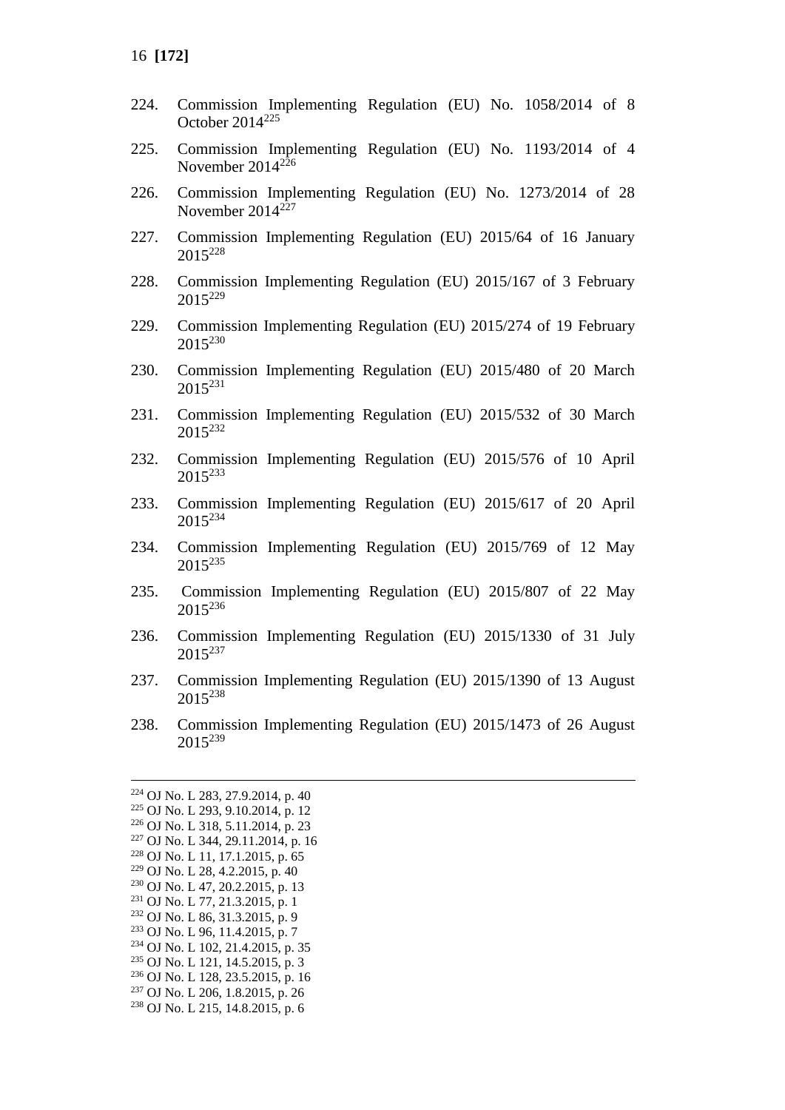- 224. Commission Implementing Regulation (EU) No. 1058/2014 of 8 October 2014<sup>225</sup>
- 225. Commission Implementing Regulation (EU) No. 1193/2014 of 4 November  $2014^{226}$
- 226. Commission Implementing Regulation (EU) No. 1273/2014 of 28 November  $2014^{227}$
- 227. Commission Implementing Regulation (EU) 2015/64 of 16 January 2015<sup>228</sup>
- 228. Commission Implementing Regulation (EU) 2015/167 of 3 February 2015<sup>229</sup>
- 229. Commission Implementing Regulation (EU) 2015/274 of 19 February 2015<sup>230</sup>
- 230. Commission Implementing Regulation (EU) 2015/480 of 20 March 2015<sup>231</sup>
- 231. Commission Implementing Regulation (EU) 2015/532 of 30 March 2015<sup>232</sup>
- 232. Commission Implementing Regulation (EU) 2015/576 of 10 April 2015<sup>233</sup>
- 233. Commission Implementing Regulation (EU) 2015/617 of 20 April 2015<sup>234</sup>
- 234. Commission Implementing Regulation (EU) 2015/769 of 12 May 2015<sup>235</sup>
- 235. Commission Implementing Regulation (EU) 2015/807 of 22 May 2015<sup>236</sup>
- 236. Commission Implementing Regulation (EU) 2015/1330 of 31 July 2015<sup>237</sup>
- 237. Commission Implementing Regulation (EU) 2015/1390 of 13 August 2015<sup>238</sup>
- 238. Commission Implementing Regulation (EU) 2015/1473 of 26 August 2015<sup>239</sup>

 OJ No. L 283, 27.9.2014, p. 40 OJ No. L 293, 9.10.2014, p. 12 OJ No. L 318, 5.11.2014, p. 23 OJ No. L 344, 29.11.2014, p. 16 OJ No. L 11, 17.1.2015, p. 65 OJ No. L 28, 4.2.2015, p. 40 OJ No. L 47, 20.2.2015, p. 13 OJ No. L 77, 21.3.2015, p. 1 OJ No. L 86, 31.3.2015, p. 9 OJ No. L 96, 11.4.2015, p. 7 OJ No. L 102, 21.4.2015, p. 35 OJ No. L 121, 14.5.2015, p. 3 OJ No. L 128, 23.5.2015, p. 16 OJ No. L 206, 1.8.2015, p. 26 OJ No. L 215, 14.8.2015, p. 6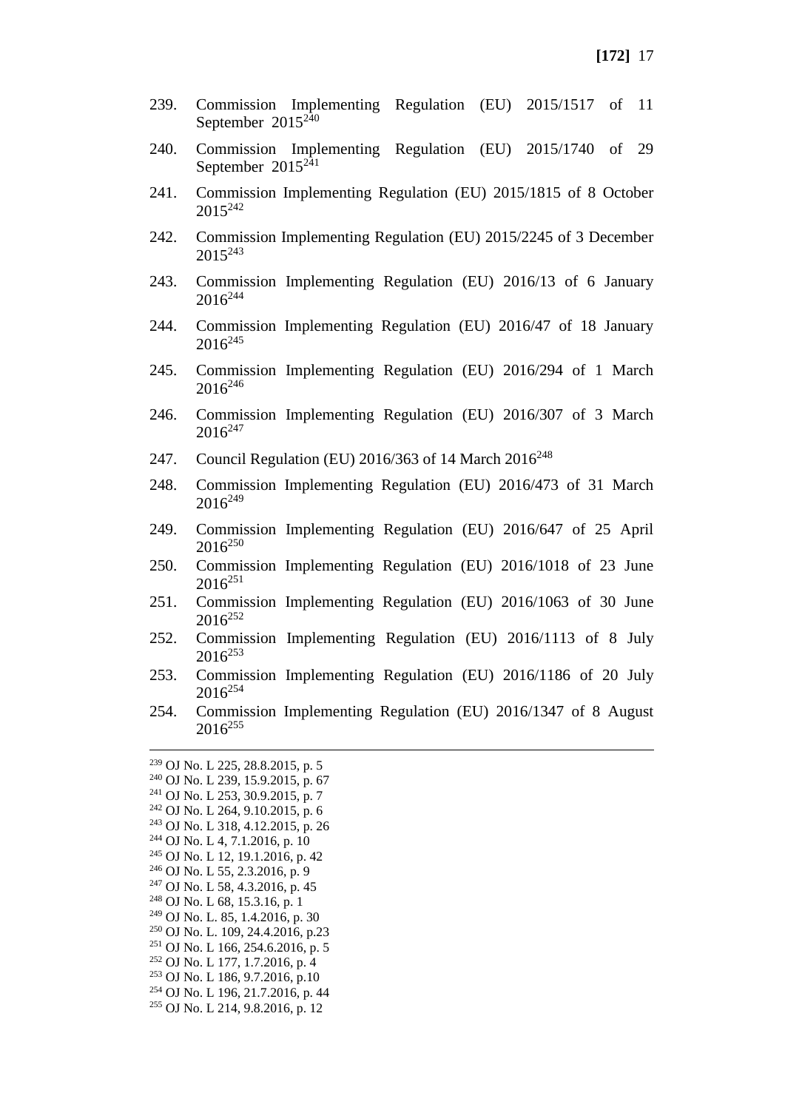- 239. Commission Implementing Regulation (EU) 2015/1517 of 11 September  $2015^{240}$
- 240. Commission Implementing Regulation (EU) 2015/1740 of 29 September  $2015^{241}$
- 241. Commission Implementing Regulation (EU) 2015/1815 of 8 October 2015<sup>242</sup>
- 242. Commission Implementing Regulation (EU) 2015/2245 of 3 December  $2015^{243}$
- 243. Commission Implementing Regulation (EU) 2016/13 of 6 January  $2016^{244}$
- 244. Commission Implementing Regulation (EU) 2016/47 of 18 January 2016<sup>245</sup>
- 245. Commission Implementing Regulation (EU) 2016/294 of 1 March  $2016^{246}$
- 246. Commission Implementing Regulation (EU) 2016/307 of 3 March  $2016^{247}$
- 247. Council Regulation (EU) 2016/363 of 14 March 2016<sup>248</sup>
- 248. Commission Implementing Regulation (EU) 2016/473 of 31 March  $2016^{249}$
- 249. Commission Implementing Regulation (EU) 2016/647 of 25 April  $2016^{250}$
- 250. Commission Implementing Regulation (EU) 2016/1018 of 23 June  $2016^{251}$
- 251. Commission Implementing Regulation (EU) 2016/1063 of 30 June  $2016^{252}$
- 252. Commission Implementing Regulation (EU) 2016/1113 of 8 July 2016<sup>253</sup>
- 253. Commission Implementing Regulation (EU) 2016/1186 of 20 July  $2016^{254}$
- 254. Commission Implementing Regulation (EU) 2016/1347 of 8 August  $2016^{255}$

 OJ No. L 225, 28.8.2015, p. 5 OJ No. L 239, 15.9.2015, p. 67 OJ No. L 253, 30.9.2015, p. 7 OJ No. L 264, 9.10.2015, p. 6 OJ No. L 318, 4.12.2015, p. 26 OJ No. L 4, 7.1.2016, p. 10 OJ No. L 12, 19.1.2016, p. 42 OJ No. L 55, 2.3.2016, p. 9 OJ No. L 58, 4.3.2016, p. 45 OJ No. L 68, 15.3.16, p. 1 OJ No. L. 85, 1.4.2016, p. 30 OJ No. L. 109, 24.4.2016, p.23 OJ No. L 166, 254, 6, 2016, p. 5 OJ No. L 177, 1.7.2016, p. 4 OJ No. L 186, 9.7.2016, p.10 OJ No. L 196, 21.7.2016, p. 44 OJ No. L 214, 9.8.2016, p. 12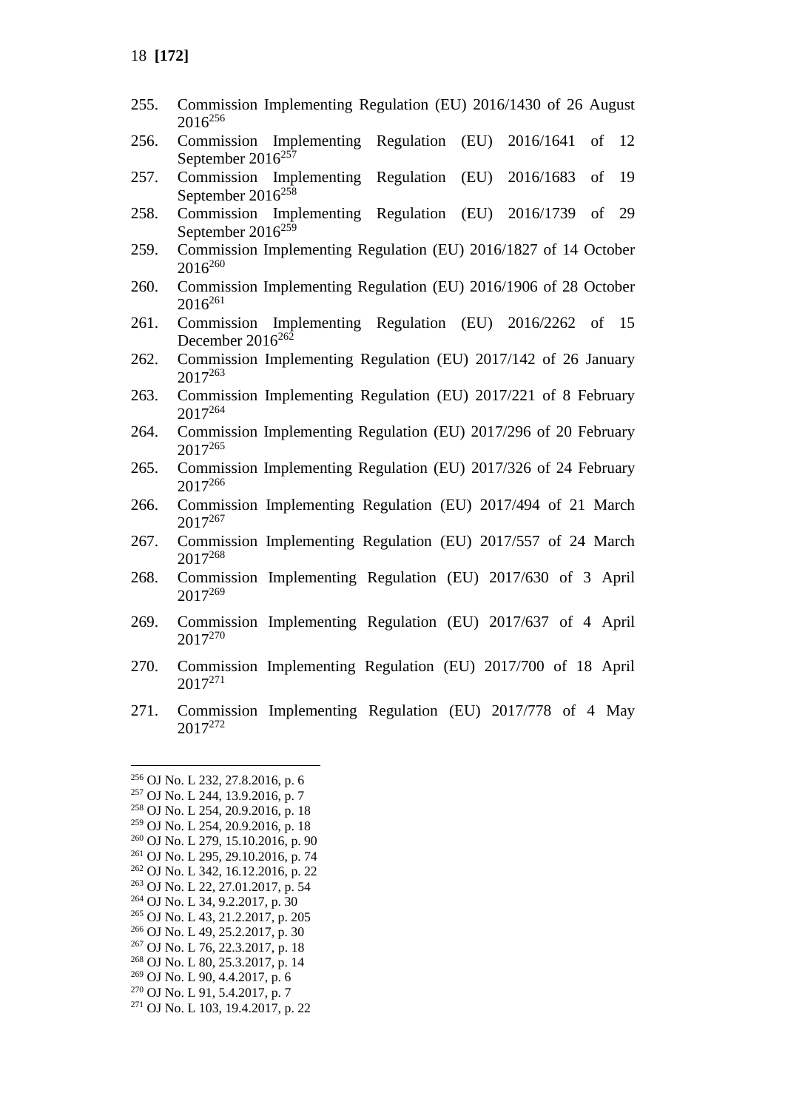| 255. | Commission Implementing Regulation (EU) 2016/1430 of 26 August<br>$2016^{256}$                             |
|------|------------------------------------------------------------------------------------------------------------|
| 256. | Regulation<br>(EU)<br>2016/1641<br>Implementing<br>$of$ 12<br>Commission<br>September 2016 <sup>257</sup>  |
| 257. | Commission<br>Regulation<br>(EU)<br>2016/1683<br>Implementing<br>of<br>19<br>September 2016 <sup>258</sup> |
| 258. | Regulation<br>Commission<br>(EU)<br>2016/1739<br>29<br>Implementing<br>of<br>September $2016^{259}$        |
| 259. | Commission Implementing Regulation (EU) 2016/1827 of 14 October<br>$2016^{260}$                            |
| 260. | Commission Implementing Regulation (EU) 2016/1906 of 28 October<br>$2016^{261}$                            |
| 261. | Implementing Regulation<br>(EU)<br>2016/2262<br>-15<br>Commission<br>of<br>December 2016 <sup>262</sup>    |
| 262. | Commission Implementing Regulation (EU) 2017/142 of 26 January<br>2017263                                  |
| 263. | Commission Implementing Regulation (EU) 2017/221 of 8 February<br>2017264                                  |
| 264. | Commission Implementing Regulation (EU) 2017/296 of 20 February<br>$2017^{265}$                            |
| 265. | Commission Implementing Regulation (EU) 2017/326 of 24 February<br>2017266                                 |
| 266. | Commission Implementing Regulation (EU) 2017/494 of 21 March<br>$2017^{267}$                               |
| 267. | Commission Implementing Regulation (EU) 2017/557 of 24 March<br>2017268                                    |
| 268. | Commission Implementing Regulation (EU) 2017/630 of 3 April<br>2017269                                     |
| 269. | Commission Implementing Regulation (EU) 2017/637 of 4 April<br>$2017^{270}$                                |
| 270. | Commission Implementing Regulation (EU) 2017/700 of 18 April<br>2017 <sup>271</sup>                        |
| 271. | Commission Implementing Regulation (EU) 2017/778 of 4 May<br>2017 <sup>272</sup>                           |
|      | <sup>256</sup> OJ No. L 232, 27.8.2016, p. 6                                                               |

 OJ No. L 244, 13.9.2016, p. 7 OJ No. L 254, 20.9.2016, p. 18 OJ No. L 254, 20.9.2016, p. 18 OJ No. L 279, 15.10.2016, p. 90 OJ No. L 295, 29.10.2016, p. 74 OJ No. L 342, 16.12.2016, p. 22 OJ No. L 22, 27.01.2017, p. 54 OJ No. L 34, 9.2.2017, p. 30 OJ No. L 43, 21.2.2017, p. 205 OJ No. L 49, 25.2.2017, p. 30 OJ No. L 76, 22.3.2017, p. 18 OJ No. L 80, 25.3.2017, p. 14 OJ No. L 90, 4.4.2017, p. 6 OJ No. L 91, 5.4.2017, p. 7 OJ No. L 103, 19.4.2017, p. 22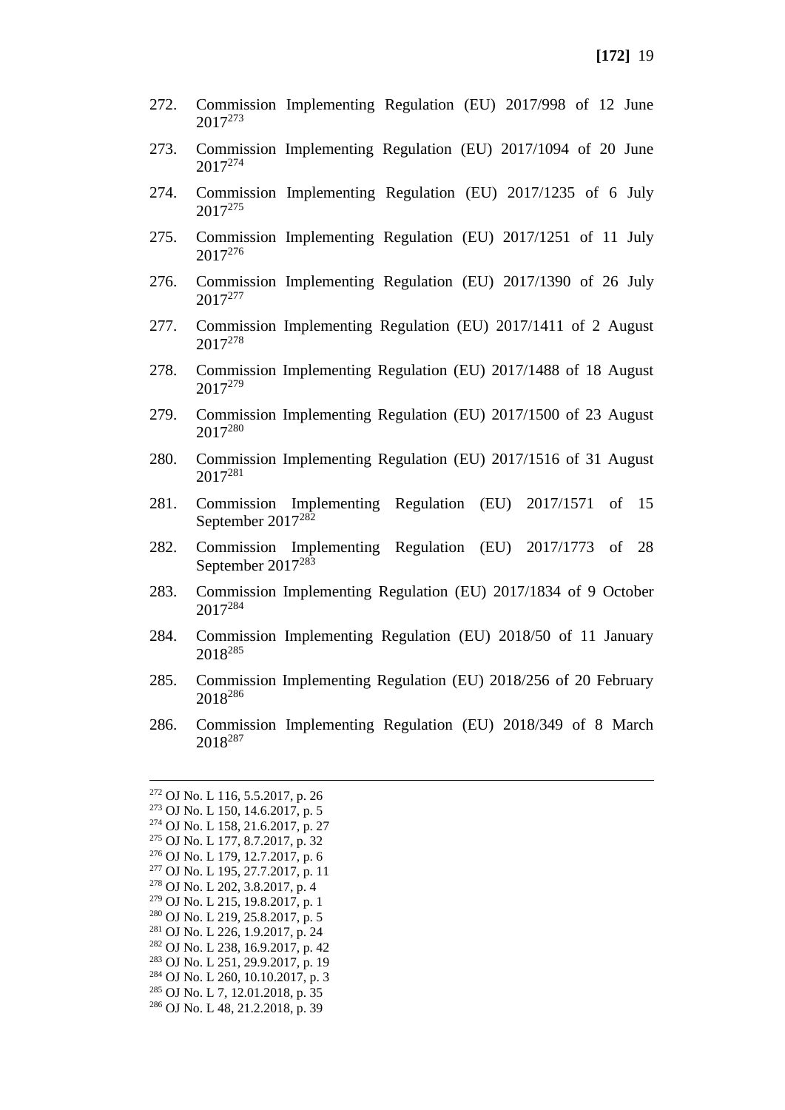- 272. Commission Implementing Regulation (EU) 2017/998 of 12 June 2017<sup>273</sup>
- 273. Commission Implementing Regulation (EU) 2017/1094 of 20 June 2017<sup>274</sup>
- 274. Commission Implementing Regulation (EU) 2017/1235 of 6 July 2017<sup>275</sup>
- 275. Commission Implementing Regulation (EU) 2017/1251 of 11 July 2017<sup>276</sup>
- 276. Commission Implementing Regulation (EU) 2017/1390 of 26 July 2017<sup>277</sup>
- 277. Commission Implementing Regulation (EU) 2017/1411 of 2 August 2017<sup>278</sup>
- 278. Commission Implementing Regulation (EU) 2017/1488 of 18 August 2017<sup>279</sup>
- 279. Commission Implementing Regulation (EU) 2017/1500 of 23 August 2017<sup>280</sup>
- 280. Commission Implementing Regulation (EU) 2017/1516 of 31 August 2017<sup>281</sup>
- 281. Commission Implementing Regulation (EU) 2017/1571 of 15 September 2017<sup>282</sup>
- 282. Commission Implementing Regulation (EU) 2017/1773 of 28 September 2017<sup>283</sup>
- 283. Commission Implementing Regulation (EU) 2017/1834 of 9 October 2017<sup>284</sup>
- 284. Commission Implementing Regulation (EU) 2018/50 of 11 January 2018<sup>285</sup>
- 285. Commission Implementing Regulation (EU) 2018/256 of 20 February 2018<sup>286</sup>
- 286. Commission Implementing Regulation (EU) 2018/349 of 8 March 2018<sup>287</sup>

 OJ No. L 116, 5.5.2017, p. 26 OJ No. L 150, 14.6.2017, p. 5 OJ No. L 158, 21.6.2017, p. 27 OJ No. L 177, 8.7.2017, p. 32 OJ No. L 179, 12.7.2017, p. 6 OJ No. L 195, 27.7.2017, p. 11 OJ No. L 202, 3.8.2017, p. 4 OJ No. L 215, 19.8.2017, p. 1 OJ No. L 219, 25.8.2017, p. 5 OJ No. L 226, 1.9.2017, p. 24 OJ No. L 238, 16.9.2017, p. 42 OJ No. L 251, 29.9.2017, p. 19 OJ No. L 260, 10.10.2017, p. 3 OJ No. L 7, 12.01.2018, p. 35 OJ No. L 48, 21.2.2018, p. 39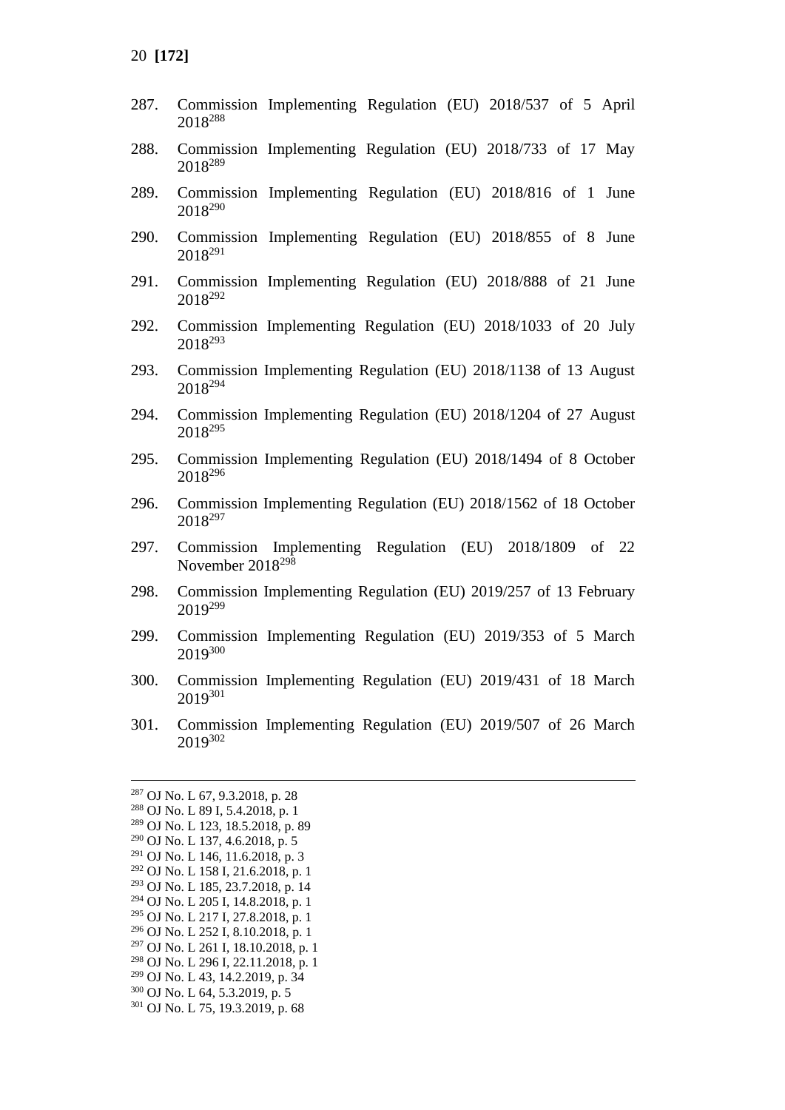- 287. Commission Implementing Regulation (EU) 2018/537 of 5 April <sup>288</sup>
- 288. Commission Implementing Regulation (EU) 2018/733 of 17 May <sup>289</sup>
- 289. Commission Implementing Regulation (EU) 2018/816 of 1 June <sup>290</sup>
- 290. Commission Implementing Regulation (EU) 2018/855 of 8 June <sup>291</sup>
- 291. Commission Implementing Regulation (EU) 2018/888 of 21 June <sup>292</sup>
- 292. Commission Implementing Regulation (EU) 2018/1033 of 20 July <sup>293</sup>
- 293. Commission Implementing Regulation (EU) 2018/1138 of 13 August <sup>294</sup>
- 294. Commission Implementing Regulation (EU) 2018/1204 of 27 August <sup>295</sup>
- 295. Commission Implementing Regulation (EU) 2018/1494 of 8 October <sup>296</sup>
- 296. Commission Implementing Regulation (EU) 2018/1562 of 18 October 2018<sup>297</sup>
- 297. Commission Implementing Regulation (EU) 2018/1809 of 22 November 2018<sup>298</sup>
- 298. Commission Implementing Regulation (EU) 2019/257 of 13 February <sup>299</sup>
- 299. Commission Implementing Regulation (EU) 2019/353 of 5 March <sup>300</sup>
- 300. Commission Implementing Regulation (EU) 2019/431 of 18 March <sup>301</sup>
- 301. Commission Implementing Regulation (EU) 2019/507 of 26 March <sup>302</sup>

- OJ No. L 261 I, 18.10.2018, p. 1
- OJ No. L 296 I, 22.11.2018, p. 1

- OJ No. L 64, 5.3.2019, p. 5
- OJ No. L 75, 19.3.2019, p. 68

OJ No. L 67, 9.3.2018, p. 28

OJ No. L 89 I, 5.4.2018, p. 1

OJ No. L 123, 18.5.2018, p. 89

OJ No. L 137, 4.6.2018, p. 5

OJ No. L 146, 11.6.2018, p. 3

 OJ No. L 158 I, 21.6.2018, p. 1 OJ No. L 185, 23.7.2018, p. 14

OJ No. L 205 I, 14.8.2018, p. 1

OJ No. L 217 I, 27.8.2018, p. 1

OJ No. L 252 I, 8.10.2018, p. 1

OJ No. L 43, 14.2.2019, p. 34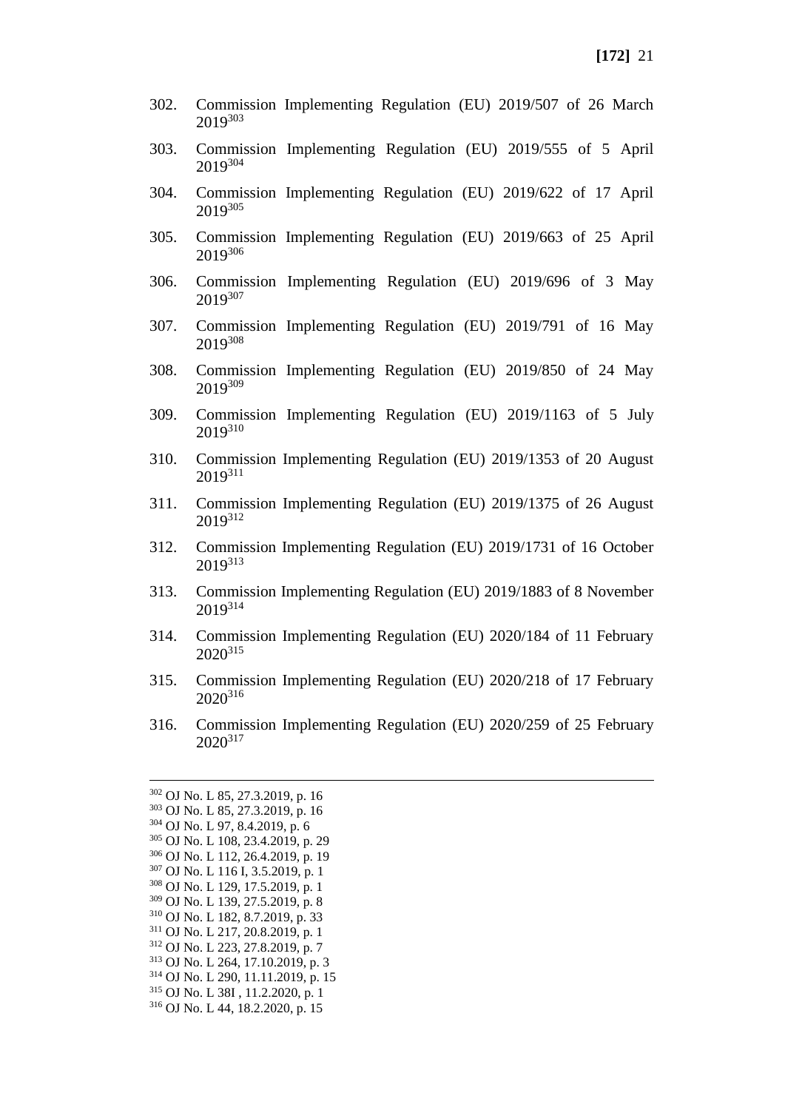- 302. Commission Implementing Regulation (EU) 2019/507 of 26 March 2019<sup>303</sup>
- 303. Commission Implementing Regulation (EU) 2019/555 of 5 April 2019<sup>304</sup>
- 304. Commission Implementing Regulation (EU) 2019/622 of 17 April 2019<sup>305</sup>
- 305. Commission Implementing Regulation (EU) 2019/663 of 25 April 2019<sup>306</sup>
- 306. Commission Implementing Regulation (EU) 2019/696 of 3 May 2019307
- 307. Commission Implementing Regulation (EU) 2019/791 of 16 May 2019<sup>308</sup>
- 308. Commission Implementing Regulation (EU) 2019/850 of 24 May 2019<sup>309</sup>
- 309. Commission Implementing Regulation (EU) 2019/1163 of 5 July 2019<sup>310</sup>
- 310. Commission Implementing Regulation (EU) 2019/1353 of 20 August 2019<sup>311</sup>
- 311. Commission Implementing Regulation (EU) 2019/1375 of 26 August 2019312
- 312. Commission Implementing Regulation (EU) 2019/1731 of 16 October 2019313
- 313. Commission Implementing Regulation (EU) 2019/1883 of 8 November 2019<sup>314</sup>
- 314. Commission Implementing Regulation (EU) 2020/184 of 11 February 2020<sup>315</sup>
- 315. Commission Implementing Regulation (EU) 2020/218 of 17 February 2020<sup>316</sup>
- 316. Commission Implementing Regulation (EU) 2020/259 of 25 February 2020<sup>317</sup>

 OJ No. L 85, 27.3.2019, p. 16 OJ No. L 85, 27.3.2019, p. 16 OJ No. L 97, 8.4.2019, p. 6 OJ No. L 108, 23.4.2019, p. 29 OJ No. L 112, 26.4.2019, p. 19 OJ No. L 116 I, 3.5.2019, p. 1 OJ No. L 129, 17.5.2019, p. 1 OJ No. L 139, 27.5.2019, p. 8 OJ No. L 182, 8.7.2019, p. 33 OJ No. L 217, 20.8.2019, p. 1 OJ No. L 223, 27.8.2019, p. 7 OJ No. L 264, 17.10.2019, p. 3 OJ No. L 290, 11.11.2019, p. 15 OJ No. L 38I , 11.2.2020, p. 1 OJ No. L 44, 18.2.2020, p. 15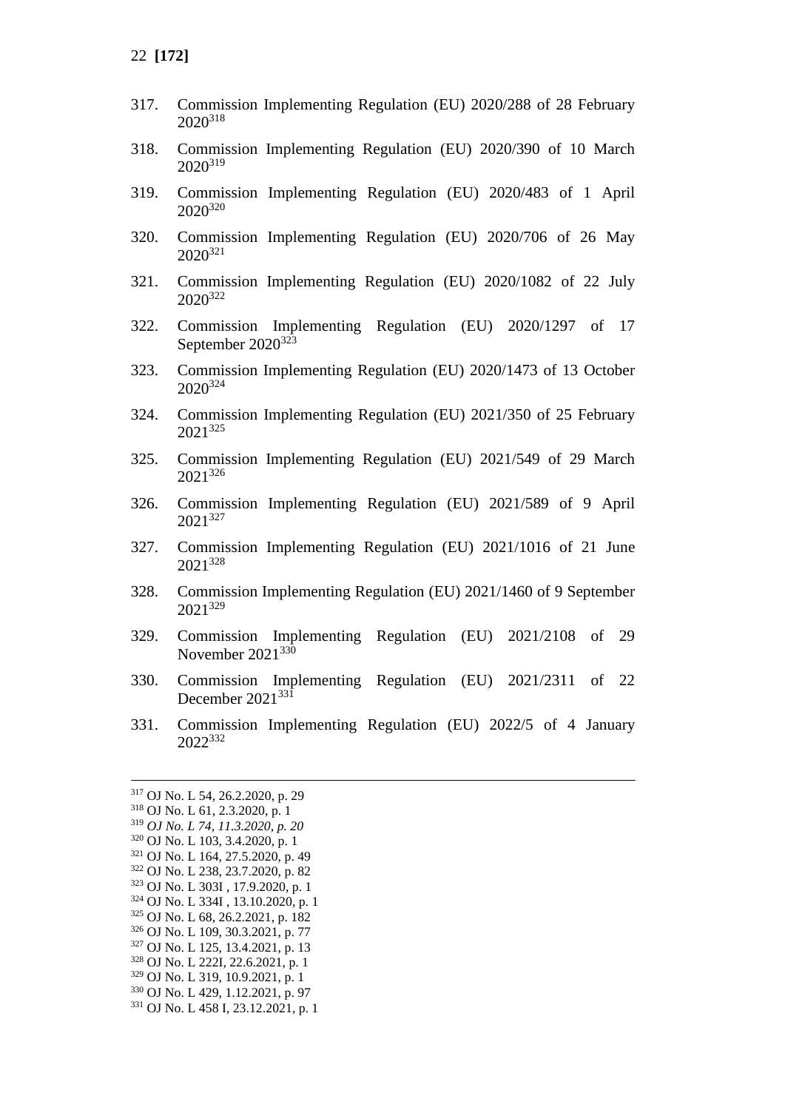- 317. Commission Implementing Regulation (EU) 2020/288 of 28 February 2020<sup>318</sup>
- 318. Commission Implementing Regulation (EU) 2020/390 of 10 March 2020<sup>319</sup>
- 319. Commission Implementing Regulation (EU) 2020/483 of 1 April 2020<sup>320</sup>
- 320. Commission Implementing Regulation (EU) 2020/706 of 26 May  $2020^{321}$
- 321. Commission Implementing Regulation (EU) 2020/1082 of 22 July 2020<sup>322</sup>
- 322. Commission Implementing Regulation (EU) 2020/1297 of 17 September 2020<sup>323</sup>
- 323. Commission Implementing Regulation (EU) 2020/1473 of 13 October 2020<sup>324</sup>
- 324. Commission Implementing Regulation (EU) 2021/350 of 25 February 2021<sup>325</sup>
- 325. Commission Implementing Regulation (EU) 2021/549 of 29 March 2021<sup>326</sup>
- 326. Commission Implementing Regulation (EU) 2021/589 of 9 April 2021<sup>327</sup>
- 327. Commission Implementing Regulation (EU) 2021/1016 of 21 June 2021<sup>328</sup>
- 328. Commission Implementing Regulation (EU) 2021/1460 of 9 September 2021<sup>329</sup>
- 329. Commission Implementing Regulation (EU) 2021/2108 of 29 November 2021<sup>330</sup>
- 330. Commission Implementing Regulation (EU) 2021/2311 of 22 December 2021<sup>331</sup>
- 331. Commission Implementing Regulation (EU) 2022/5 of 4 January 2022<sup>332</sup>

<sup>317</sup> OJ No. L 54, 26.2.2020, p. 29 <sup>318</sup> OJ No. L 61, 2.3.2020, p. 1 <sup>319</sup> *OJ No. L 74, 11.3.2020, p. 20* <sup>320</sup> OJ No. L 103, 3.4.2020, p. 1 <sup>321</sup> OJ No. L 164, 27.5.2020, p. 49 <sup>322</sup> OJ No. L 238, 23.7.2020, p. 82 <sup>323</sup> OJ No. L 303I , 17.9.2020, p. 1 <sup>324</sup> OJ No. L 334I , 13.10.2020, p. 1 <sup>325</sup> OJ No. L 68, 26.2.2021, p. 182 <sup>326</sup> OJ No. L 109, 30.3.2021, p. 77 <sup>327</sup> OJ No. L 125, 13.4.2021, p. 13 <sup>328</sup> OJ No. L 222I, 22.6.2021, p. 1 <sup>329</sup> OJ No. L 319, 10.9.2021, p. 1 <sup>330</sup> OJ No. L 429, 1.12.2021, p. 97 <sup>331</sup> OJ No. L 458 I, 23.12.2021, p. 1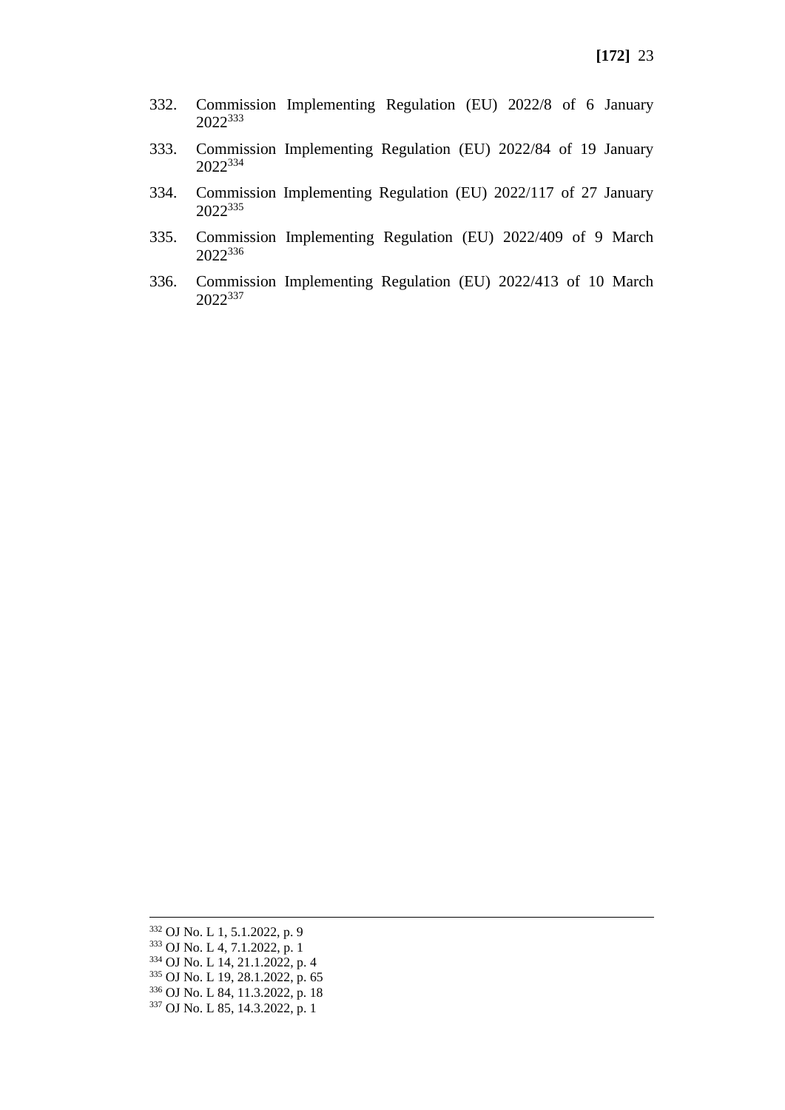- 332. Commission Implementing Regulation (EU) 2022/8 of 6 January <sup>333</sup>
- 333. Commission Implementing Regulation (EU) 2022/84 of 19 January <sup>334</sup>
- 334. Commission Implementing Regulation (EU) 2022/117 of 27 January <sup>335</sup>
- 335. Commission Implementing Regulation (EU) 2022/409 of 9 March
- 336. Commission Implementing Regulation (EU) 2022/413 of 10 March <sup>337</sup>

 OJ No. L 1, 5.1.2022, p. 9 OJ No. L 4, 7.1.2022, p. 1 OJ No. L 14, 21.1.2022, p. 4 OJ No. L 19, 28.1.2022, p. 65 OJ No. L 84, 11.3.2022, p. 18 OJ No. L 85, 14.3.2022, p. 1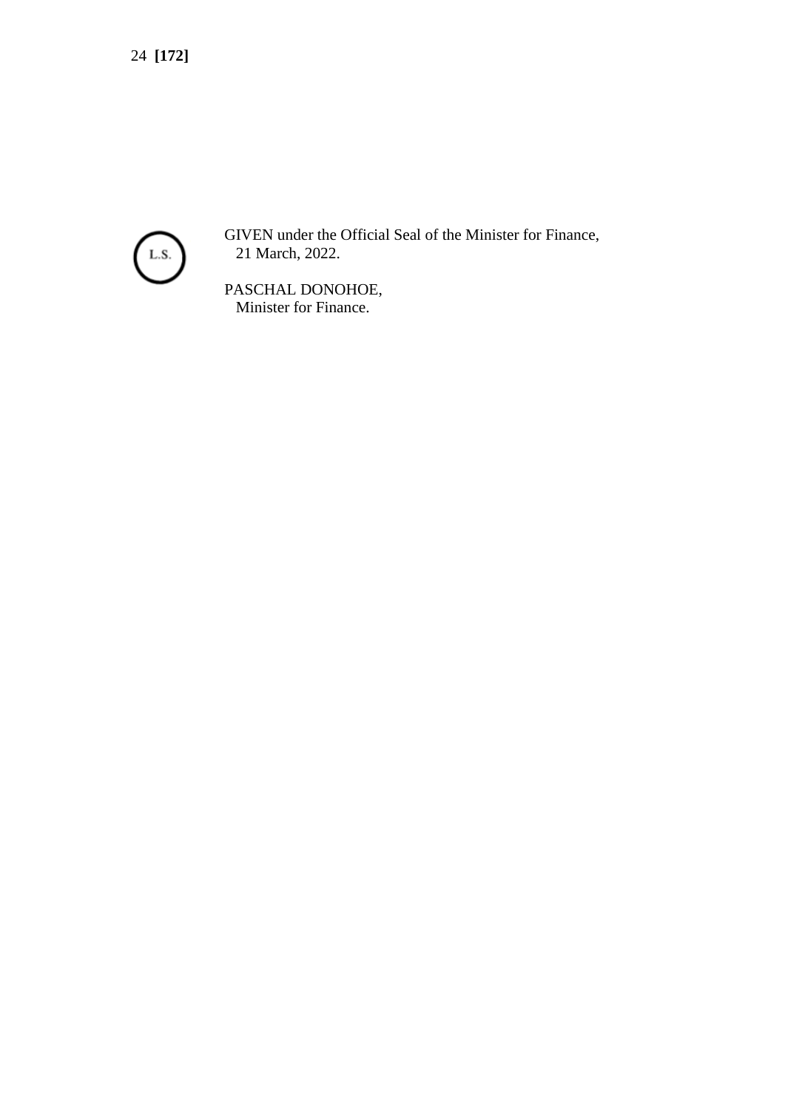

GIVEN under the Official Seal of the Minister for Finance, 21 March, 2022.

PASCHAL DONOHOE, Minister for Finance.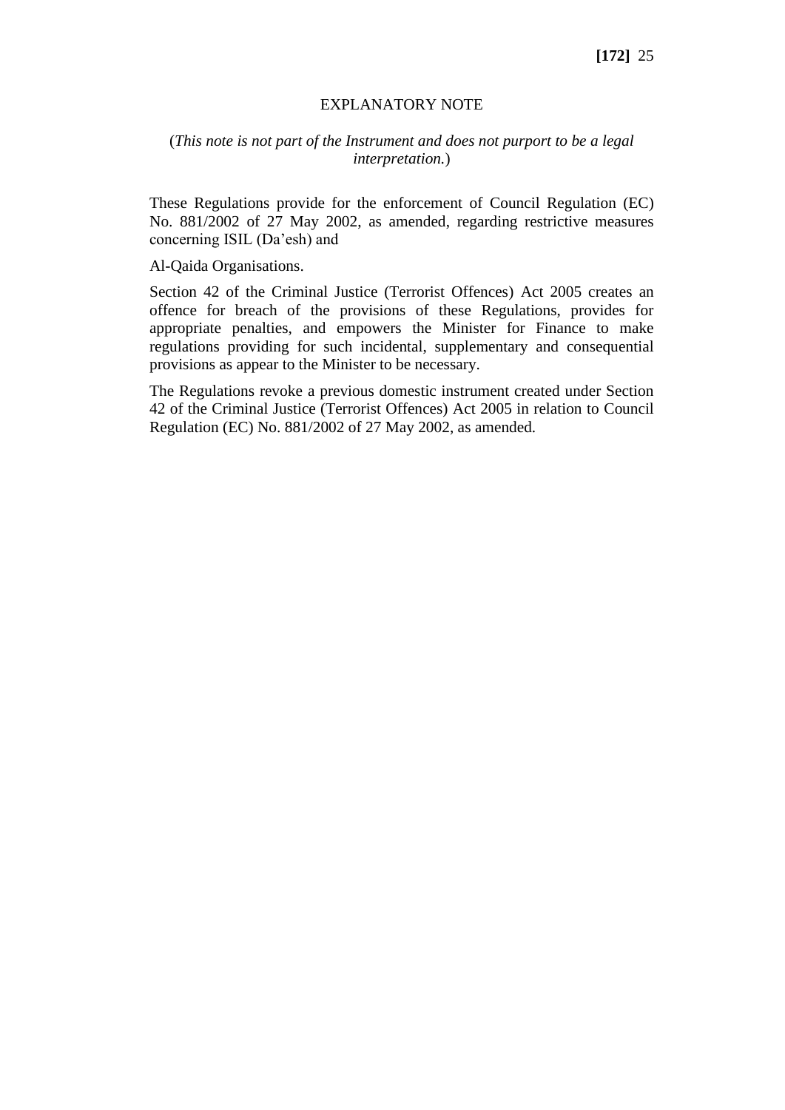#### EXPLANATORY NOTE

### (*This note is not part of the Instrument and does not purport to be a legal interpretation.*)

These Regulations provide for the enforcement of Council Regulation (EC) No. 881/2002 of 27 May 2002, as amended, regarding restrictive measures concerning ISIL (Da'esh) and

Al-Qaida Organisations.

Section 42 of the Criminal Justice (Terrorist Offences) Act 2005 creates an offence for breach of the provisions of these Regulations, provides for appropriate penalties, and empowers the Minister for Finance to make regulations providing for such incidental, supplementary and consequential provisions as appear to the Minister to be necessary.

The Regulations revoke a previous domestic instrument created under Section 42 of the Criminal Justice (Terrorist Offences) Act 2005 in relation to Council Regulation (EC) No. 881/2002 of 27 May 2002, as amended.